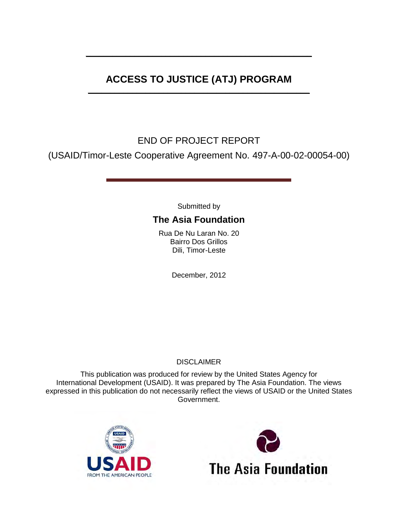# **ACCESS TO JUSTICE (ATJ) PROGRAM**

**\_\_\_\_\_\_\_\_\_\_\_\_\_\_\_\_\_\_\_\_\_\_\_\_\_\_\_\_\_\_\_\_\_\_\_\_\_\_\_\_\_\_\_\_\_\_\_\_\_\_\_**

**\_\_\_\_\_\_\_\_\_\_\_\_\_\_\_\_\_\_\_\_\_\_\_\_\_\_\_\_\_\_\_\_\_\_\_\_\_\_\_\_\_\_\_\_\_\_\_\_\_\_**

# END OF PROJECT REPORT

(USAID/Timor-Leste Cooperative Agreement No. 497-A-00-02-00054-00)

Submitted by

# **The Asia Foundation**

Rua De Nu Laran No. 20 Bairro Dos Grillos Dili, Timor-Leste

December, 2012

#### **DISCLAIMER**

This publication was produced for review by the United States Agency for International Development (USAID). It was prepared by The Asia Foundation. The views expressed in this publication do not necessarily reflect the views of USAID or the United States Government.



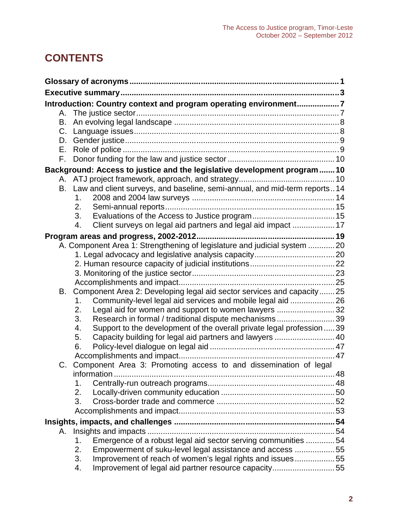# **CONTENTS**

|    | Introduction: Country context and program operating environment7             |  |  |  |  |
|----|------------------------------------------------------------------------------|--|--|--|--|
| А. |                                                                              |  |  |  |  |
| В. |                                                                              |  |  |  |  |
| C. |                                                                              |  |  |  |  |
| D. |                                                                              |  |  |  |  |
| Е. |                                                                              |  |  |  |  |
| F. |                                                                              |  |  |  |  |
|    | Background: Access to justice and the legislative development program10      |  |  |  |  |
|    |                                                                              |  |  |  |  |
|    | B. Law and client surveys, and baseline, semi-annual, and mid-term reports14 |  |  |  |  |
|    | 1.                                                                           |  |  |  |  |
|    | 2.                                                                           |  |  |  |  |
|    | 3.                                                                           |  |  |  |  |
|    | Client surveys on legal aid partners and legal aid impact  17<br>4.          |  |  |  |  |
|    |                                                                              |  |  |  |  |
|    | A. Component Area 1: Strengthening of legislature and judicial system 20     |  |  |  |  |
|    |                                                                              |  |  |  |  |
|    |                                                                              |  |  |  |  |
|    |                                                                              |  |  |  |  |
|    |                                                                              |  |  |  |  |
| В. | Component Area 2: Developing legal aid sector services and capacity  25      |  |  |  |  |
|    | Community-level legal aid services and mobile legal aid 26<br>1.             |  |  |  |  |
|    | Legal aid for women and support to women lawyers 32<br>2.                    |  |  |  |  |
|    | Research in formal / traditional dispute mechanisms 39<br>3.                 |  |  |  |  |
|    | Support to the development of the overall private legal profession39<br>4.   |  |  |  |  |
|    | Capacity building for legal aid partners and lawyers  40<br>5.               |  |  |  |  |
|    | 6.                                                                           |  |  |  |  |
|    |                                                                              |  |  |  |  |
|    | C. Component Area 3: Promoting access to and dissemination of legal          |  |  |  |  |
|    |                                                                              |  |  |  |  |
|    | 1.                                                                           |  |  |  |  |
|    | 2.                                                                           |  |  |  |  |
|    | 3.                                                                           |  |  |  |  |
|    |                                                                              |  |  |  |  |
|    |                                                                              |  |  |  |  |
| Α. |                                                                              |  |  |  |  |
|    | Emergence of a robust legal aid sector serving communities  54<br>1.         |  |  |  |  |
|    | 2.<br>Empowerment of suku-level legal assistance and access 55               |  |  |  |  |
|    | Improvement of reach of women's legal rights and issues55<br>3.              |  |  |  |  |
|    | Improvement of legal aid partner resource capacity55<br>4.                   |  |  |  |  |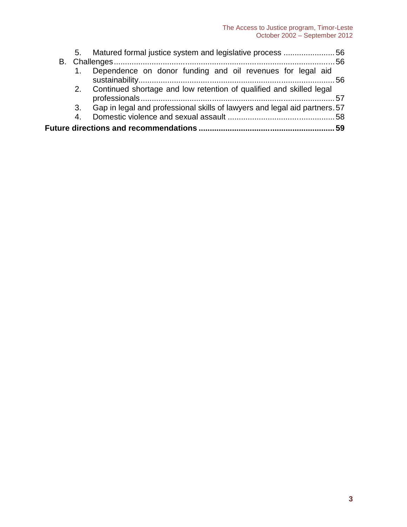|    | 56. Matured formal justice system and legislative process 56               |  |
|----|----------------------------------------------------------------------------|--|
|    |                                                                            |  |
|    | 1. Dependence on donor funding and oil revenues for legal aid              |  |
|    | 2. Continued shortage and low retention of qualified and skilled legal     |  |
| 3. | Gap in legal and professional skills of lawyers and legal aid partners. 57 |  |
| 4. |                                                                            |  |
|    |                                                                            |  |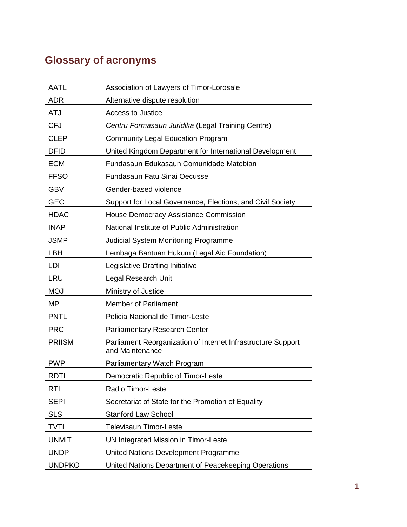# **Glossary of acronyms**

| <b>AATL</b>   | Association of Lawyers of Timor-Lorosa'e                                        |
|---------------|---------------------------------------------------------------------------------|
| <b>ADR</b>    | Alternative dispute resolution                                                  |
| <b>ATJ</b>    | Access to Justice                                                               |
| <b>CFJ</b>    | Centru Formasaun Juridika (Legal Training Centre)                               |
| <b>CLEP</b>   | <b>Community Legal Education Program</b>                                        |
| <b>DFID</b>   | United Kingdom Department for International Development                         |
| <b>ECM</b>    | Fundasaun Edukasaun Comunidade Matebian                                         |
| <b>FFSO</b>   | Fundasaun Fatu Sinai Oecusse                                                    |
| <b>GBV</b>    | Gender-based violence                                                           |
| <b>GEC</b>    | Support for Local Governance, Elections, and Civil Society                      |
| <b>HDAC</b>   | House Democracy Assistance Commission                                           |
| <b>INAP</b>   | National Institute of Public Administration                                     |
| <b>JSMP</b>   | <b>Judicial System Monitoring Programme</b>                                     |
| <b>LBH</b>    | Lembaga Bantuan Hukum (Legal Aid Foundation)                                    |
| LDI           | Legislative Drafting Initiative                                                 |
| <b>LRU</b>    | Legal Research Unit                                                             |
| <b>MOJ</b>    | Ministry of Justice                                                             |
| <b>MP</b>     | <b>Member of Parliament</b>                                                     |
| <b>PNTL</b>   | Policia Nacional de Timor-Leste                                                 |
| <b>PRC</b>    | <b>Parliamentary Research Center</b>                                            |
| <b>PRIISM</b> | Parliament Reorganization of Internet Infrastructure Support<br>and Maintenance |
| <b>PWP</b>    | Parliamentary Watch Program                                                     |
| <b>RDTL</b>   | Democratic Republic of Timor-Leste                                              |
| <b>RTL</b>    | Radio Timor-Leste                                                               |
| <b>SEPI</b>   | Secretariat of State for the Promotion of Equality                              |
| <b>SLS</b>    | Stanford Law School                                                             |
| <b>TVTL</b>   | Televisaun Timor-Leste                                                          |
| <b>UNMIT</b>  | UN Integrated Mission in Timor-Leste                                            |
| <b>UNDP</b>   | United Nations Development Programme                                            |
| <b>UNDPKO</b> | United Nations Department of Peacekeeping Operations                            |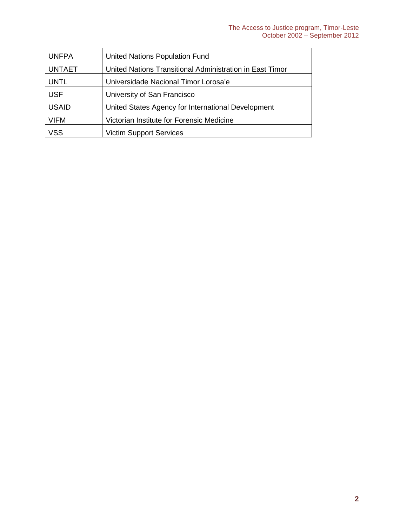| <b>UNFPA</b>  | <b>United Nations Population Fund</b>                    |
|---------------|----------------------------------------------------------|
| <b>UNTAET</b> | United Nations Transitional Administration in East Timor |
| <b>UNTL</b>   | Universidade Nacional Timor Lorosa'e                     |
| <b>USF</b>    | University of San Francisco                              |
| <b>USAID</b>  | United States Agency for International Development       |
| VIFM          | Victorian Institute for Forensic Medicine                |
| /SS           | <b>Victim Support Services</b>                           |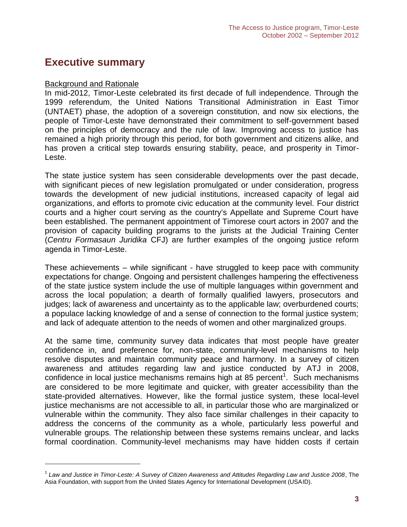# **Executive summary**

#### Background and Rationale

In mid-2012, Timor-Leste celebrated its first decade of full independence. Through the 1999 referendum, the United Nations Transitional Administration in East Timor (UNTAET) phase, the adoption of a sovereign constitution, and now six elections, the people of Timor-Leste have demonstrated their commitment to self-government based on the principles of democracy and the rule of law. Improving access to justice has remained a high priority through this period, for both government and citizens alike, and has proven a critical step towards ensuring stability, peace, and prosperity in Timor- Leste.

The state justice system has seen considerable developments over the past decade, with significant pieces of new legislation promulgated or under consideration, progress towards the development of new judicial institutions, increased capacity of legal aid organizations, and efforts to promote civic education at the community level. Four district courts and a higher court serving as the country's Appellate and Supreme Court have been established. The permanent appointment of Timorese court actors in 2007 and the provision of capacity building programs to the jurists at the Judicial Training Center (*Centru Formasaun Juridika* CFJ) are further examples of the ongoing justice reform agenda in Timor-Leste.

These achievements – while significant - have struggled to keep pace with community expectations for change. Ongoing and persistent challenges hampering the effectiveness of the state justice system include the use of multiple languages within government and across the local population; a dearth of formally qualified lawyers, prosecutors and judges; lack of awareness and uncertainty as to the applicable law; overburdened courts; a populace lacking knowledge of and a sense of connection to the formal justice system; and lack of adequate attention to the needs of women and other marginalized groups.

At the same time, community survey data indicates that most people have greater confidence in, and preference for, non-state, community-level mechanisms to help resolve disputes and maintain community peace and harmony. In a survey of citizen awareness and attitudes regarding law and justice conducted by ATJ in 2008, confidence in local justice mechanisms remains high at 85 percent<sup>1</sup>. Such mechanisms are considered to be more legitimate and quicker, with greater accessibility than the state-provided alternatives. However, like the formal justice system, these local-level justice mechanisms are not accessible to all, in particular those who are marginalized or vulnerable within the community. They also face similar challenges in their capacity to address the concerns of the community as a whole, particularly less powerful and vulnerable groups. The relationship between these systems remains unclear, and lacks formal coordination. Community-level mechanisms may have hidden costs if certain

<sup>1</sup> *Law and Justice in Timor-Leste: A Survey of Citizen Awareness and Attitudes Regarding Law and Justice 2008*, The Asia Foundation, with support from the United States Agency for International Development (USAID).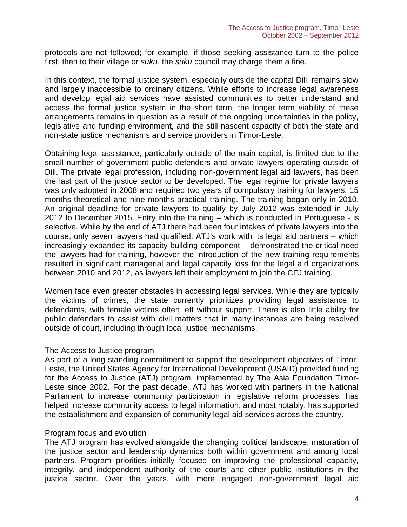protocols are not followed; for example, if those seeking assistance turn to the police first, then to their village or *suku*, the *suku* council may charge them a fine.

In this context, the formal justice system, especially outside the capital Dili, remains slow and largely inaccessible to ordinary citizens. While efforts to increase legal awareness and develop legal aid services have assisted communities to better understand and access the formal justice system in the short term, the longer term viability of these arrangements remains in question as a result of the ongoing uncertainties in the policy, legislative and funding environment, and the still nascent capacity of both the state and non-state justice mechanisms and service providers in Timor-Leste.

Obtaining legal assistance, particularly outside of the main capital, is limited due to the small number of government public defenders and private lawyers operating outside of Dili. The private legal profession, including non-government legal aid lawyers, has been the last part of the justice sector to be developed. The legal regime for private lawyers was only adopted in 2008 and required two years of compulsory training for lawyers, 15 months theoretical and nine months practical training. The training began only in 2010. An original deadline for private lawyers to qualify by July 2012 was extended in July 2012 to December 2015. Entry into the training – which is conducted in Portuguese - is selective. While by the end of ATJ there had been four intakes of private lawyers into the course, only seven lawyers had qualified. ATJ's work with its legal aid partners – which increasingly expanded its capacity building component – demonstrated the critical need the lawyers had for training, however the introduction of the new training requirements resulted in significant managerial and legal capacity loss for the legal aid organizations between 2010 and 2012, as lawyers left their employment to join the CFJ training.

Women face even greater obstacles in accessing legal services. While they are typically the victims of crimes, the state currently prioritizes providing legal assistance to defendants, with female victims often left without support. There is also little ability for public defenders to assist with civil matters that in many instances are being resolved outside of court, including through local justice mechanisms.

#### The Access to Justice program

As part of a long-standing commitment to support the development objectives of Timor- Leste, the United States Agency for International Development (USAID) provided funding for the Access to Justice (ATJ) program, implemented by The Asia Foundation Timor- Leste since 2002. For the past decade, ATJ has worked with partners in the National Parliament to increase community participation in legislative reform processes, has helped increase community access to legal information, and most notably, has supported the establishment and expansion of community legal aid services across the country.

#### Program focus and evolution

The ATJ program has evolved alongside the changing political landscape, maturation of the justice sector and leadership dynamics both within government and among local partners. Program priorities initially focused on improving the professional capacity, integrity, and independent authority of the courts and other public institutions in the justice sector. Over the years, with more engaged non-government legal aid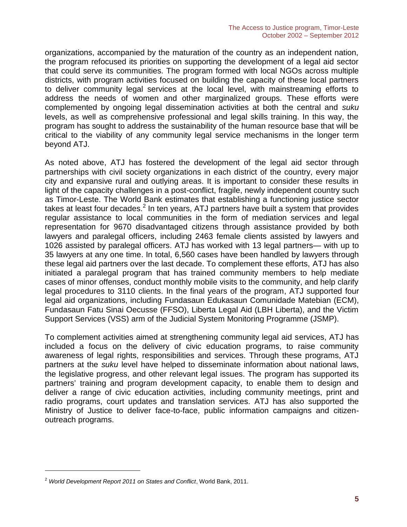organizations, accompanied by the maturation of the country as an independent nation, the program refocused its priorities on supporting the development of a legal aid sector that could serve its communities. The program formed with local NGOs across multiple districts, with program activities focused on building the capacity of these local partners to deliver community legal services at the local level, with mainstreaming efforts to address the needs of women and other marginalized groups. These efforts were complemented by ongoing legal dissemination activities at both the central and *suku* levels, as well as comprehensive professional and legal skills training. In this way, the program has sought to address the sustainability of the human resource base that will be critical to the viability of any community legal service mechanisms in the longer term beyond ATJ.

As noted above, ATJ has fostered the development of the legal aid sector through partnerships with civil society organizations in each district of the country, every major city and expansive rural and outlying areas. It is important to consider these results in light of the capacity challenges in a post-conflict, fragile, newly independent country such as Timor-Leste. The World Bank estimates that establishing a functioning justice sector takes at least four decades.<sup>2</sup> In ten years, ATJ partners have built a system that provides regular assistance to local communities in the form of mediation services and legal representation for 9670 disadvantaged citizens through assistance provided by both lawyers and paralegal officers, including 2463 female clients assisted by lawyers and 1026 assisted by paralegal officers. ATJ has worked with 13 legal partners— with up to 35 lawyers at any one time. In total, 6,560 cases have been handled by lawyers through these legal aid partners over the last decade. To complement these efforts, ATJ has also initiated a paralegal program that has trained community members to help mediate cases of minor offenses, conduct monthly mobile visits to the community, and help clarify legal procedures to 3110 clients. In the final years of the program, ATJ supported four legal aid organizations, including Fundasaun Edukasaun Comunidade Matebian (ECM), Fundasaun Fatu Sinai Oecusse (FFSO), Liberta Legal Aid (LBH Liberta), and the Victim Support Services (VSS) arm of the Judicial System Monitoring Programme (JSMP).

To complement activities aimed at strengthening community legal aid services, ATJ has included a focus on the delivery of civic education programs, to raise community awareness of legal rights, responsibilities and services. Through these programs, ATJ partners at the *suku* level have helped to disseminate information about national laws, the legislative progress, and other relevant legal issues. The program has supported its partners' training and program development capacity, to enable them to design and deliver a range of civic education activities, including community meetings, print and radio programs, court updates and translation services. ATJ has also supported the Ministry of Justice to deliver face-to-face, public information campaigns and citizen outreach programs.

<sup>2</sup> *World Development Report 2011 on States and Conflict*, World Bank, 2011.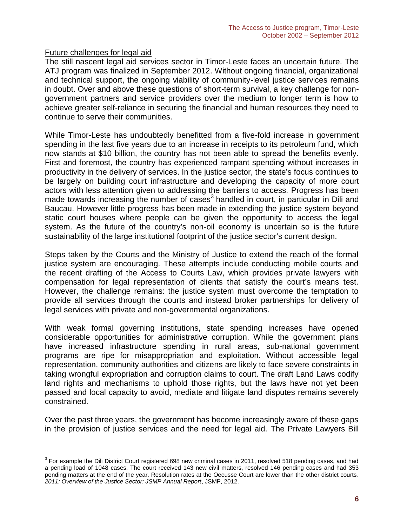#### Future challenges for legal aid

The still nascent legal aid services sector in Timor-Leste faces an uncertain future. The ATJ program was finalized in September 2012. Without ongoing financial, organizational and technical support, the ongoing viability of community-level justice services remains in doubt. Over and above these questions of short-term survival, a key challenge for non government partners and service providers over the medium to longer term is how to achieve greater self-reliance in securing the financial and human resources they need to continue to serve their communities.

While Timor-Leste has undoubtedly benefitted from a five-fold increase in government spending in the last five years due to an increase in receipts to its petroleum fund, which now stands at \$10 billion, the country has not been able to spread the benefits evenly. First and foremost, the country has experienced rampant spending without increases in productivity in the delivery of services. In the justice sector, the state's focus continues to be largely on building court infrastructure and developing the capacity of more court actors with less attention given to addressing the barriers to access. Progress has been made towards increasing the number of cases<sup>3</sup> handled in court, in particular in Dili and Baucau. However little progress has been made in extending the justice system beyond static court houses where people can be given the opportunity to access the legal system. As the future of the country's non-oil economy is uncertain so is the future sustainability of the large institutional footprint of the justice sector's current design.

Steps taken by the Courts and the Ministry of Justice to extend the reach of the formal justice system are encouraging. These attempts include conducting mobile courts and the recent drafting of the Access to Courts Law, which provides private lawyers with compensation for legal representation of clients that satisfy the court's means test. However, the challenge remains: the justice system must overcome the temptation to provide all services through the courts and instead broker partnerships for delivery of legal services with private and non-governmental organizations.

With weak formal governing institutions, state spending increases have opened considerable opportunities for administrative corruption. While the government plans have increased infrastructure spending in rural areas, sub-national government programs are ripe for misappropriation and exploitation. Without accessible legal representation, community authorities and citizens are likely to face severe constraints in taking wrongful expropriation and corruption claims to court. The draft Land Laws codify land rights and mechanisms to uphold those rights, but the laws have not yet been passed and local capacity to avoid, mediate and litigate land disputes remains severely constrained.

Over the past three years, the government has become increasingly aware of these gaps in the provision of justice services and the need for legal aid. The Private Lawyers Bill

 $3$  For example the Dili District Court registered 698 new criminal cases in 2011, resolved 518 pending cases, and had a pending load of 1048 cases. The court received 143 new civil matters, resolved 146 pending cases and had 353 pending matters at the end of the year. Resolution rates at the Oecusse Court are lower than the other district courts*. 2011: Overview of the Justice Sector: JSMP Annual Report*, JSMP, 2012.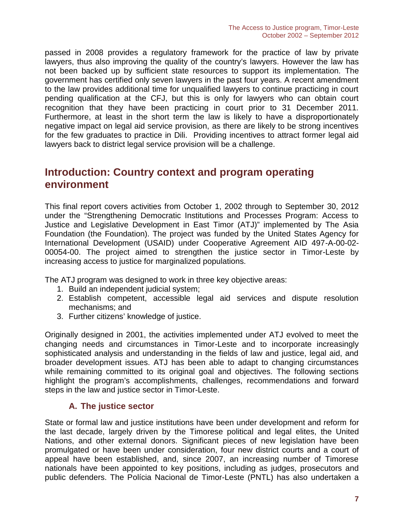passed in 2008 provides a regulatory framework for the practice of law by private lawyers, thus also improving the quality of the country's lawyers. However the law has not been backed up by sufficient state resources to support its implementation. The government has certified only seven lawyers in the past four years. A recent amendment to the law provides additional time for unqualified lawyers to continue practicing in court pending qualification at the CFJ, but this is only for lawyers who can obtain court recognition that they have been practicing in court prior to 31 December 2011. Furthermore, at least in the short term the law is likely to have a disproportionately negative impact on legal aid service provision, as there are likely to be strong incentives for the few graduates to practice in Dili. Providing incentives to attract former legal aid lawyers back to district legal service provision will be a challenge.

# **Introduction: Country context and program operating environment**

This final report covers activities from October 1, 2002 through to September 30, 2012 under the "Strengthening Democratic Institutions and Processes Program: Access to Justice and Legislative Development in East Timor (ATJ)" implemented by The Asia Foundation (the Foundation). The project was funded by the United States Agency for International Development (USAID) under Cooperative Agreement AID 497-A-00-02- 00054-00. The project aimed to strengthen the justice sector in Timor-Leste by increasing access to justice for marginalized populations.

The ATJ program was designed to work in three key objective areas:

- 1. Build an independent judicial system;
- 2. Establish competent, accessible legal aid services and dispute resolution mechanisms; and
- 3. Further citizens' knowledge of justice.

Originally designed in 2001, the activities implemented under ATJ evolved to meet the changing needs and circumstances in Timor-Leste and to incorporate increasingly sophisticated analysis and understanding in the fields of law and justice, legal aid, and broader development issues. ATJ has been able to adapt to changing circumstances while remaining committed to its original goal and objectives. The following sections highlight the program's accomplishments, challenges, recommendations and forward steps in the law and justice sector in Timor-Leste.

# **A. The justice sector**

State or formal law and justice institutions have been under development and reform for the last decade, largely driven by the Timorese political and legal elites, the United Nations, and other external donors. Significant pieces of new legislation have been promulgated or have been under consideration, four new district courts and a court of appeal have been established, and, since 2007, an increasing number of Timorese nationals have been appointed to key positions, including as judges, prosecutors and public defenders. The Polícia Nacional de Timor-Leste (PNTL) has also undertaken a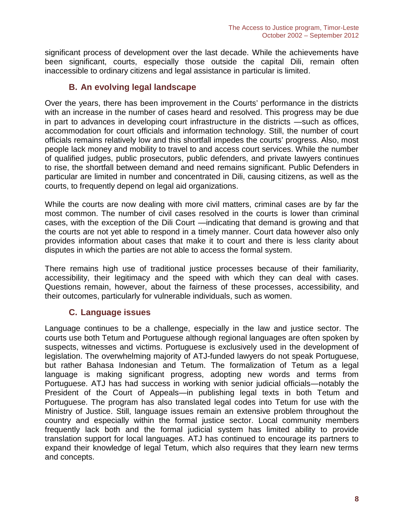significant process of development over the last decade. While the achievements have been significant, courts, especially those outside the capital Dili, remain often inaccessible to ordinary citizens and legal assistance in particular is limited.

# **B. An evolving legal landscape**

Over the years, there has been improvement in the Courts' performance in the districts with an increase in the number of cases heard and resolved. This progress may be due in part to advances in developing court infrastructure in the districts —such as offices, accommodation for court officials and information technology. Still, the number of court officials remains relatively low and this shortfall impedes the courts' progress. Also, most people lack money and mobility to travel to and access court services. While the number of qualified judges, public prosecutors, public defenders, and private lawyers continues to rise, the shortfall between demand and need remains significant. Public Defenders in particular are limited in number and concentrated in Dili, causing citizens, as well as the courts, to frequently depend on legal aid organizations.

While the courts are now dealing with more civil matters, criminal cases are by far the most common. The number of civil cases resolved in the courts is lower than criminal cases, with the exception of the Dili Court —indicating that demand is growing and that the courts are not yet able to respond in a timely manner. Court data however also only provides information about cases that make it to court and there is less clarity about disputes in which the parties are not able to access the formal system.

There remains high use of traditional justice processes because of their familiarity, accessibility, their legitimacy and the speed with which they can deal with cases. Questions remain, however, about the fairness of these processes, accessibility, and their outcomes, particularly for vulnerable individuals, such as women.

# **C. Language issues**

Language continues to be a challenge, especially in the law and justice sector. The courts use both Tetum and Portuguese although regional languages are often spoken by suspects, witnesses and victims. Portuguese is exclusively used in the development of legislation. The overwhelming majority of ATJ-funded lawyers do not speak Portuguese, but rather Bahasa Indonesian and Tetum. The formalization of Tetum as a legal language is making significant progress, adopting new words and terms from Portuguese. ATJ has had success in working with senior judicial officials—notably the President of the Court of Appeals—in publishing legal texts in both Tetum and Portuguese. The program has also translated legal codes into Tetum for use with the Ministry of Justice. Still, language issues remain an extensive problem throughout the country and especially within the formal justice sector. Local community members frequently lack both and the formal judicial system has limited ability to provide translation support for local languages. ATJ has continued to encourage its partners to expand their knowledge of legal Tetum, which also requires that they learn new terms and concepts.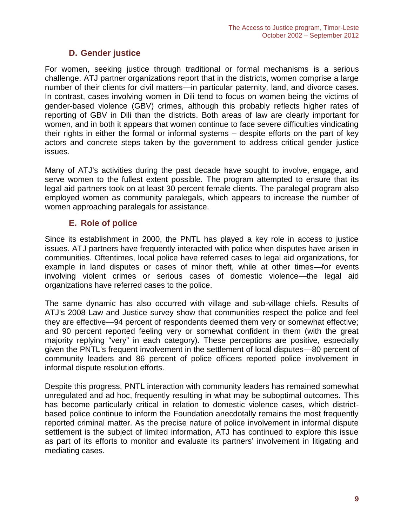# **D. Gender justice**

For women, seeking justice through traditional or formal mechanisms is a serious challenge. ATJ partner organizations report that in the districts, women comprise a large number of their clients for civil matters—in particular paternity, land, and divorce cases. In contrast, cases involving women in Dili tend to focus on women being the victims of gender-based violence (GBV) crimes, although this probably reflects higher rates of reporting of GBV in Dili than the districts. Both areas of law are clearly important for women, and in both it appears that women continue to face severe difficulties vindicating their rights in either the formal or informal systems – despite efforts on the part of key actors and concrete steps taken by the government to address critical gender justice issues.

Many of ATJ's activities during the past decade have sought to involve, engage, and serve women to the fullest extent possible. The program attempted to ensure that its legal aid partners took on at least 30 percent female clients. The paralegal program also employed women as community paralegals, which appears to increase the number of women approaching paralegals for assistance.

# **E. Role of police**

Since its establishment in 2000, the PNTL has played a key role in access to justice issues. ATJ partners have frequently interacted with police when disputes have arisen in communities. Oftentimes, local police have referred cases to legal aid organizations, for example in land disputes or cases of minor theft, while at other times—for events involving violent crimes or serious cases of domestic violence—the legal aid organizations have referred cases to the police.

The same dynamic has also occurred with village and sub-village chiefs. Results of ATJ's 2008 Law and Justice survey show that communities respect the police and feel they are effective—94 percent of respondents deemed them very or somewhat effective; and 90 percent reported feeling very or somewhat confident in them (with the great majority replying "very" in each category). These perceptions are positive, especially given the PNTL's frequent involvement in the settlement of local disputes—80 percent of community leaders and 86 percent of police officers reported police involvement in informal dispute resolution efforts.

Despite this progress, PNTL interaction with community leaders has remained somewhat unregulated and ad hoc, frequently resulting in what may be suboptimal outcomes. This has become particularly critical in relation to domestic violence cases, which district based police continue to inform the Foundation anecdotally remains the most frequently reported criminal matter. As the precise nature of police involvement in informal dispute settlement is the subject of limited information, ATJ has continued to explore this issue as part of its efforts to monitor and evaluate its partners' involvement in litigating and mediating cases.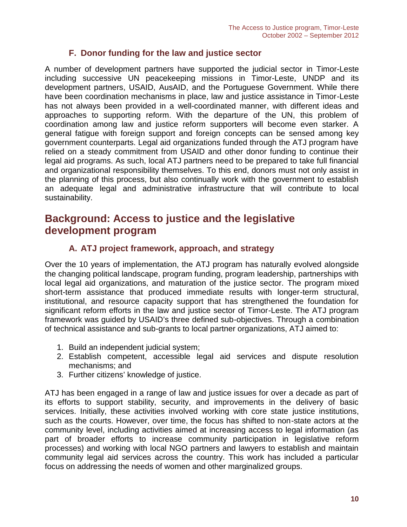### **F. Donor funding for the law and justice sector**

A number of development partners have supported the judicial sector in Timor-Leste including successive UN peacekeeping missions in Timor-Leste, UNDP and its development partners, USAID, AusAID, and the Portuguese Government. While there have been coordination mechanisms in place, law and justice assistance in Timor-Leste has not always been provided in a well-coordinated manner, with different ideas and approaches to supporting reform. With the departure of the UN, this problem of coordination among law and justice reform supporters will become even starker. A general fatigue with foreign support and foreign concepts can be sensed among key government counterparts. Legal aid organizations funded through the ATJ program have relied on a steady commitment from USAID and other donor funding to continue their legal aid programs. As such, local ATJ partners need to be prepared to take full financial and organizational responsibility themselves. To this end, donors must not only assist in the planning of this process, but also continually work with the government to establish an adequate legal and administrative infrastructure that will contribute to local sustainability.

# **Background: Access to justice and the legislative development program**

# **A. ATJ project framework, approach, and strategy**

Over the 10 years of implementation, the ATJ program has naturally evolved alongside the changing political landscape, program funding, program leadership, partnerships with local legal aid organizations, and maturation of the justice sector. The program mixed short-term assistance that produced immediate results with longer-term structural, institutional, and resource capacity support that has strengthened the foundation for significant reform efforts in the law and justice sector of Timor-Leste. The ATJ program framework was guided by USAID's three defined sub-objectives. Through a combination of technical assistance and sub-grants to local partner organizations, ATJ aimed to:

- 1. Build an independent judicial system;
- 2. Establish competent, accessible legal aid services and dispute resolution mechanisms; and
- 3. Further citizens' knowledge of justice.

ATJ has been engaged in a range of law and justice issues for over a decade as part of its efforts to support stability, security, and improvements in the delivery of basic services. Initially, these activities involved working with core state justice institutions, such as the courts. However, over time, the focus has shifted to non-state actors at the community level, including activities aimed at increasing access to legal information (as part of broader efforts to increase community participation in legislative reform processes) and working with local NGO partners and lawyers to establish and maintain community legal aid services across the country. This work has included a particular focus on addressing the needs of women and other marginalized groups.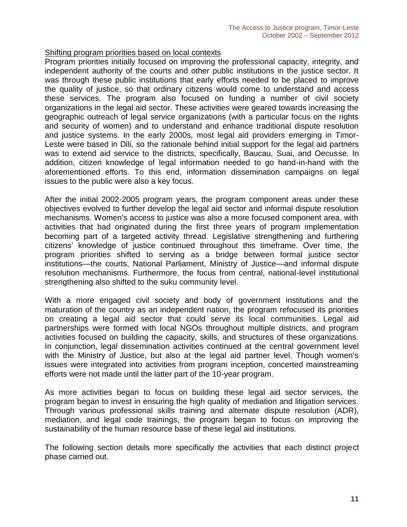#### Shifting program priorities based on local contexts

Program priorities initially focused on improving the professional capacity, integrity, and independent authority of the courts and other public institutions in the justice sector. It was through these public institutions that early efforts needed to be placed to improve the quality of justice, so that ordinary citizens would come to understand and access these services. The program also focused on funding a number of civil society organizations in the legal aid sector. These activities were geared towards increasing the geographic outreach of legal service organizations (with a particular focus on the rights and security of women) and to understand and enhance traditional dispute resolution and justice systems. In the early 2000s, most legal aid providers emerging in Timor- Leste were based in Dili, so the rationale behind initial support for the legal aid partners was to extend aid service to the districts, specifically, Baucau, Suai, and Oecusse. In addition, citizen knowledge of legal information needed to go hand-in-hand with the aforementioned efforts. To this end, information dissemination campaigns on legal issues to the public were also a key focus.

After the initial 2002-2005 program years, the program component areas under these objectives evolved to further develop the legal aid sector and informal dispute resolution mechanisms. Women's access to justice was also a more focused component area, with activities that had originated during the first three years of program implementation becoming part of a targeted activity thread. Legislative strengthening and furthering citizens' knowledge of justice continued throughout this timeframe. Over time, the program priorities shifted to serving as a bridge between formal justice sector institutions—the courts, National Parliament, Ministry of Justice—and informal dispute resolution mechanisms. Furthermore, the focus from central, national-level institutional strengthening also shifted to the suku community level.

With a more engaged civil society and body of government institutions and the maturation of the country as an independent nation, the program refocused its priorities on creating a legal aid sector that could serve its local communities. Legal aid partnerships were formed with local NGOs throughout multiple districts, and program activities focused on building the capacity, skills, and structures of these organizations. In conjunction, legal dissemination activities continued at the central government level with the Ministry of Justice, but also at the legal aid partner level. Though women's issues were integrated into activities from program inception, concerted mainstreaming efforts were not made until the latter part of the 10-year program.

As more activities began to focus on building these legal aid sector services, the program began to invest in ensuring the high quality of mediation and litigation services. Through various professional skills training and alternate dispute resolution (ADR), mediation, and legal code trainings, the program began to focus on improving the sustainability of the human resource base of these legal aid institutions.

The following section details more specifically the activities that each distinct project phase carried out.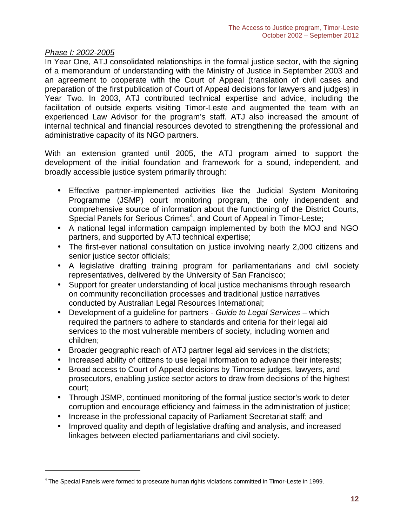#### *Phase I: 2002-2005*

In Year One, ATJ consolidated relationships in the formal justice sector, with the signing of a memorandum of understanding with the Ministry of Justice in September 2003 and an agreement to cooperate with the Court of Appeal (translation of civil cases and preparation of the first publication of Court of Appeal decisions for lawyers and judges) in Year Two. In 2003, ATJ contributed technical expertise and advice, including the facilitation of outside experts visiting Timor-Leste and augmented the team with an experienced Law Advisor for the program's staff. ATJ also increased the amount of internal technical and financial resources devoted to strengthening the professional and administrative capacity of its NGO partners.

With an extension granted until 2005, the ATJ program aimed to support the development of the initial foundation and framework for a sound, independent, and broadly accessible justice system primarily through:

- Effective partner-implemented activities like the Judicial System Monitoring Programme (JSMP) court monitoring program, the only independent and comprehensive source of information about the functioning of the District Courts, Special Panels for Serious Crimes<sup>4</sup>, and Court of Appeal in Timor-Leste;
- A national legal information campaign implemented by both the MOJ and NGO partners, and supported by ATJ technical expertise;
- The first-ever national consultation on justice involving nearly 2,000 citizens and senior justice sector officials;
- A legislative drafting training program for parliamentarians and civil society representatives, delivered by the University of San Francisco;
- Support for greater understanding of local justice mechanisms through research on community reconciliation processes and traditional justice narratives conducted by Australian Legal Resources International;
- Development of a guideline for partners *Guide to Legal Services* which required the partners to adhere to standards and criteria for their legal aid services to the most vulnerable members of society, including women and children;
- Broader geographic reach of ATJ partner legal aid services in the districts;
- Increased ability of citizens to use legal information to advance their interests;
- Broad access to Court of Appeal decisions by Timorese judges, lawyers, and prosecutors, enabling justice sector actors to draw from decisions of the highest court;
- Through JSMP, continued monitoring of the formal justice sector's work to deter corruption and encourage efficiency and fairness in the administration of justice;
- Increase in the professional capacity of Parliament Secretariat staff; and
- Improved quality and depth of legislative drafting and analysis, and increased linkages between elected parliamentarians and civil society.

<sup>4</sup> The Special Panels were formed to prosecute human rights violations committed in Timor-Leste in 1999.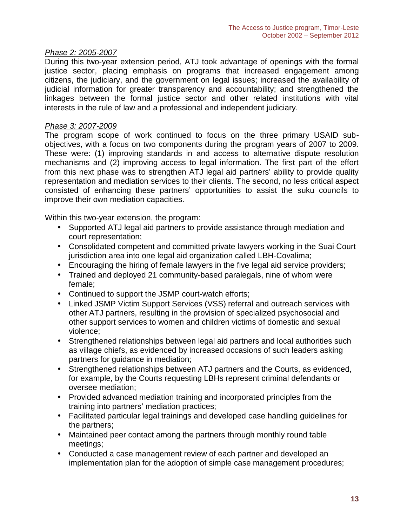#### *Phase 2: 2005-2007*

During this two-year extension period, ATJ took advantage of openings with the formal justice sector, placing emphasis on programs that increased engagement among citizens, the judiciary, and the government on legal issues; increased the availability of judicial information for greater transparency and accountability; and strengthened the linkages between the formal justice sector and other related institutions with vital interests in the rule of law and a professional and independent judiciary.

#### *Phase 3: 2007-2009*

The program scope of work continued to focus on the three primary USAID sub objectives, with a focus on two components during the program years of 2007 to 2009. These were: (1) improving standards in and access to alternative dispute resolution mechanisms and (2) improving access to legal information. The first part of the effort from this next phase was to strengthen ATJ legal aid partners' ability to provide quality representation and mediation services to their clients. The second, no less critical aspect consisted of enhancing these partners' opportunities to assist the suku councils to improve their own mediation capacities.

Within this two-year extension, the program:

- Supported ATJ legal aid partners to provide assistance through mediation and court representation;
- Consolidated competent and committed private lawyers working in the Suai Court jurisdiction area into one legal aid organization called LBH-Covalima;
- Encouraging the hiring of female lawyers in the five legal aid service providers;
- Trained and deployed 21 community-based paralegals, nine of whom were female;
- Continued to support the JSMP court-watch efforts;
- Linked JSMP Victim Support Services (VSS) referral and outreach services with other ATJ partners, resulting in the provision of specialized psychosocial and other support services to women and children victims of domestic and sexual violence;
- Strengthened relationships between legal aid partners and local authorities such as village chiefs, as evidenced by increased occasions of such leaders asking partners for guidance in mediation;
- Strengthened relationships between ATJ partners and the Courts, as evidenced, for example, by the Courts requesting LBHs represent criminal defendants or oversee mediation;
- Provided advanced mediation training and incorporated principles from the training into partners' mediation practices;
- Facilitated particular legal trainings and developed case handling guidelines for the partners;
- Maintained peer contact among the partners through monthly round table meetings;
- Conducted a case management review of each partner and developed an implementation plan for the adoption of simple case management procedures;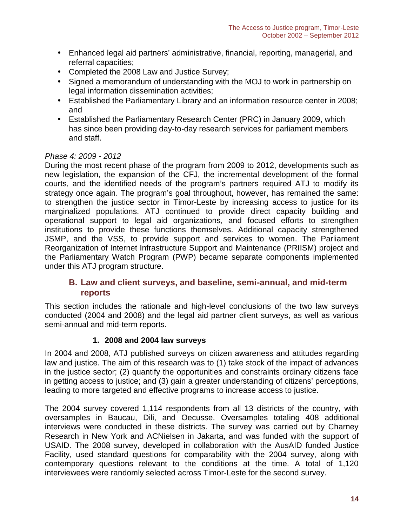- Enhanced legal aid partners' administrative, financial, reporting, managerial, and referral capacities;
- Completed the 2008 Law and Justice Survey;
- Signed a memorandum of understanding with the MOJ to work in partnership on legal information dissemination activities;
- Established the Parliamentary Library and an information resource center in 2008; and
- Established the Parliamentary Research Center (PRC) in January 2009, which has since been providing day-to-day research services for parliament members and staff.

### *Phase 4: 2009 - 2012*

During the most recent phase of the program from 2009 to 2012, developments such as new legislation, the expansion of the CFJ, the incremental development of the formal courts, and the identified needs of the program's partners required ATJ to modify its strategy once again. The program's goal throughout, however, has remained the same: to strengthen the justice sector in Timor-Leste by increasing access to justice for its marginalized populations. ATJ continued to provide direct capacity building and operational support to legal aid organizations, and focused efforts to strengthen institutions to provide these functions themselves. Additional capacity strengthened JSMP, and the VSS, to provide support and services to women. The Parliament Reorganization of Internet Infrastructure Support and Maintenance (PRIISM) project and the Parliamentary Watch Program (PWP) became separate components implemented under this ATJ program structure.

# **B. Law and client surveys, and baseline, semi-annual, and mid-term reports**

This section includes the rationale and high-level conclusions of the two law surveys conducted (2004 and 2008) and the legal aid partner client surveys, as well as various semi-annual and mid-term reports.

#### **1. 2008 and 2004 law surveys**

In 2004 and 2008, ATJ published surveys on citizen awareness and attitudes regarding law and justice. The aim of this research was to (1) take stock of the impact of advances in the justice sector; (2) quantify the opportunities and constraints ordinary citizens face in getting access to justice; and (3) gain a greater understanding of citizens' perceptions, leading to more targeted and effective programs to increase access to justice.

The 2004 survey covered 1,114 respondents from all 13 districts of the country, with oversamples in Baucau, Dili, and Oecusse. Oversamples totaling 408 additional interviews were conducted in these districts. The survey was carried out by Charney Research in New York and ACNielsen in Jakarta, and was funded with the support of USAID. The 2008 survey, developed in collaboration with the AusAID funded Justice Facility, used standard questions for comparability with the 2004 survey, along with contemporary questions relevant to the conditions at the time. A total of 1,120 interviewees were randomly selected across Timor-Leste for the second survey.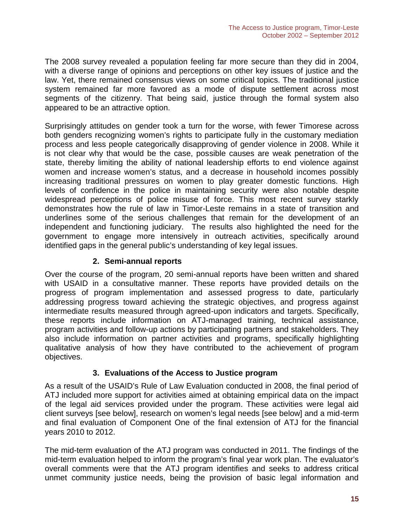The 2008 survey revealed a population feeling far more secure than they did in 2004, with a diverse range of opinions and perceptions on other key issues of justice and the law. Yet, there remained consensus views on some critical topics. The traditional justice system remained far more favored as a mode of dispute settlement across most segments of the citizenry. That being said, justice through the formal system also appeared to be an attractive option.

Surprisingly attitudes on gender took a turn for the worse, with fewer Timorese across both genders recognizing women's rights to participate fully in the customary mediation process and less people categorically disapproving of gender violence in 2008. While it is not clear why that would be the case, possible causes are weak penetration of the state, thereby limiting the ability of national leadership efforts to end violence against women and increase women's status, and a decrease in household incomes possibly increasing traditional pressures on women to play greater domestic functions. High levels of confidence in the police in maintaining security were also notable despite widespread perceptions of police misuse of force. This most recent survey starkly demonstrates how the rule of law in Timor-Leste remains in a state of transition and underlines some of the serious challenges that remain for the development of an independent and functioning judiciary. The results also highlighted the need for the government to engage more intensively in outreach activities, specifically around identified gaps in the general public's understanding of key legal issues.

### **2. Semi-annual reports**

Over the course of the program, 20 semi-annual reports have been written and shared with USAID in a consultative manner. These reports have provided details on the progress of program implementation and assessed progress to date, particularly addressing progress toward achieving the strategic objectives, and progress against intermediate results measured through agreed-upon indicators and targets. Specifically, these reports include information on ATJ-managed training, technical assistance, program activities and follow-up actions by participating partners and stakeholders. They also include information on partner activities and programs, specifically highlighting qualitative analysis of how they have contributed to the achievement of program objectives.

#### **3. Evaluations of the Access to Justice program**

As a result of the USAID's Rule of Law Evaluation conducted in 2008, the final period of ATJ included more support for activities aimed at obtaining empirical data on the impact of the legal aid services provided under the program. These activities were legal aid client surveys [see below], research on women's legal needs [see below] and a mid-term and final evaluation of Component One of the final extension of ATJ for the financial years 2010 to 2012.

The mid-term evaluation of the ATJ program was conducted in 2011. The findings of the mid-term evaluation helped to inform the program's final year work plan. The evaluator's overall comments were that the ATJ program identifies and seeks to address critical unmet community justice needs, being the provision of basic legal information and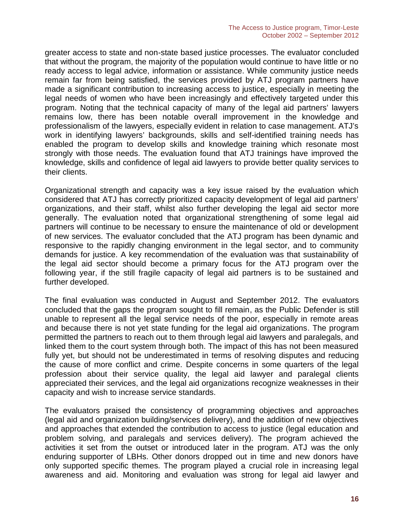greater access to state and non-state based justice processes. The evaluator concluded that without the program, the majority of the population would continue to have little or no ready access to legal advice, information or assistance. While community justice needs remain far from being satisfied, the services provided by ATJ program partners have made a significant contribution to increasing access to justice, especially in meeting the legal needs of women who have been increasingly and effectively targeted under this program. Noting that the technical capacity of many of the legal aid partners' lawyers remains low, there has been notable overall improvement in the knowledge and professionalism of the lawyers, especially evident in relation to case management. ATJ's work in identifying lawyers' backgrounds, skills and self-identified training needs has enabled the program to develop skills and knowledge training which resonate most strongly with those needs. The evaluation found that ATJ trainings have improved the knowledge, skills and confidence of legal aid lawyers to provide better quality services to their clients.

Organizational strength and capacity was a key issue raised by the evaluation which considered that ATJ has correctly prioritized capacity development of legal aid partners' organizations, and their staff, whilst also further developing the legal aid sector more generally. The evaluation noted that organizational strengthening of some legal aid partners will continue to be necessary to ensure the maintenance of old or development of new services. The evaluator concluded that the ATJ program has been dynamic and responsive to the rapidly changing environment in the legal sector, and to community demands for justice. A key recommendation of the evaluation was that sustainability of the legal aid sector should become a primary focus for the ATJ program over the following year, if the still fragile capacity of legal aid partners is to be sustained and further developed.

The final evaluation was conducted in August and September 2012. The evaluators concluded that the gaps the program sought to fill remain, as the Public Defender is still unable to represent all the legal service needs of the poor, especially in remote areas and because there is not yet state funding for the legal aid organizations. The program permitted the partners to reach out to them through legal aid lawyers and paralegals, and linked them to the court system through both. The impact of this has not been measured fully yet, but should not be underestimated in terms of resolving disputes and reducing the cause of more conflict and crime. Despite concerns in some quarters of the legal profession about their service quality, the legal aid lawyer and paralegal clients appreciated their services, and the legal aid organizations recognize weaknesses in their capacity and wish to increase service standards.

The evaluators praised the consistency of programming objectives and approaches (legal aid and organization building/services delivery), and the addition of new objectives and approaches that extended the contribution to access to justice (legal education and problem solving, and paralegals and services delivery). The program achieved the activities it set from the outset or introduced later in the program. ATJ was the only enduring supporter of LBHs. Other donors dropped out in time and new donors have only supported specific themes. The program played a crucial role in increasing legal awareness and aid. Monitoring and evaluation was strong for legal aid lawyer and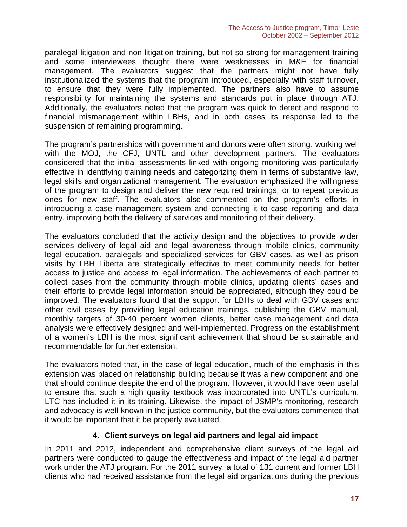paralegal litigation and non-litigation training, but not so strong for management training and some interviewees thought there were weaknesses in M&E for financial management. The evaluators suggest that the partners might not have fully institutionalized the systems that the program introduced, especially with staff turnover, to ensure that they were fully implemented. The partners also have to assume responsibility for maintaining the systems and standards put in place through ATJ. Additionally, the evaluators noted that the program was quick to detect and respond to financial mismanagement within LBHs, and in both cases its response led to the suspension of remaining programming.

The program's partnerships with government and donors were often strong, working well with the MOJ, the CFJ, UNTL and other development partners. The evaluators considered that the initial assessments linked with ongoing monitoring was particularly effective in identifying training needs and categorizing them in terms of substantive law, legal skills and organizational management. The evaluation emphasized the willingness of the program to design and deliver the new required trainings, or to repeat previous ones for new staff. The evaluators also commented on the program's efforts in introducing a case management system and connecting it to case reporting and data entry, improving both the delivery of services and monitoring of their delivery.

The evaluators concluded that the activity design and the objectives to provide wider services delivery of legal aid and legal awareness through mobile clinics, community legal education, paralegals and specialized services for GBV cases, as well as prison visits by LBH Liberta are strategically effective to meet community needs for better access to justice and access to legal information. The achievements of each partner to collect cases from the community through mobile clinics, updating clients' cases and their efforts to provide legal information should be appreciated, although they could be improved. The evaluators found that the support for LBHs to deal with GBV cases and other civil cases by providing legal education trainings, publishing the GBV manual, monthly targets of 30-40 percent women clients, better case management and data analysis were effectively designed and well-implemented. Progress on the establishment of a women's LBH is the most significant achievement that should be sustainable and recommendable for further extension.

The evaluators noted that, in the case of legal education, much of the emphasis in this extension was placed on relationship building because it was a new component and one that should continue despite the end of the program. However, it would have been useful to ensure that such a high quality textbook was incorporated into UNTL's curriculum. LTC has included it in its training. Likewise, the impact of JSMP's monitoring, research and advocacy is well-known in the justice community, but the evaluators commented that it would be important that it be properly evaluated.

#### **4. Client surveys on legal aid partners and legal aid impact**

In 2011 and 2012, independent and comprehensive client surveys of the legal aid partners were conducted to gauge the effectiveness and impact of the legal aid partner work under the ATJ program. For the 2011 survey, a total of 131 current and former LBH clients who had received assistance from the legal aid organizations during the previous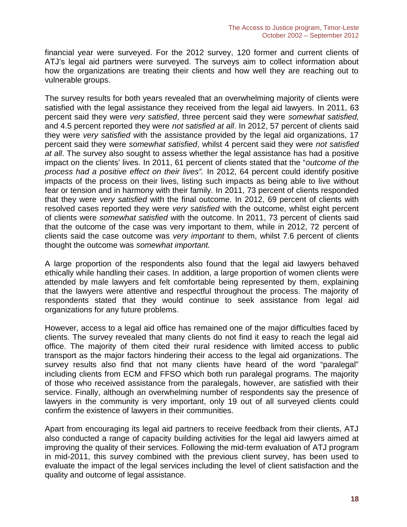financial year were surveyed. For the 2012 survey, 120 former and current clients of ATJ's legal aid partners were surveyed. The surveys aim to collect information about how the organizations are treating their clients and how well they are reaching out to vulnerable groups.

The survey results for both years revealed that an overwhelming majority of clients were satisfied with the legal assistance they received from the legal aid lawyers. In 2011, 63 percent said they were *very satisfied*, three percent said they were *somewhat satisfied,* and 4.5 percent reported they were *not satisfied at all*. In 2012, 57 percent of clients said they were *very satisfied* with the assistance provided by the legal aid organizations, 17 percent said they were *somewhat satisfied*, whilst 4 percent said they were *not satisfied at all*. The survey also sought to assess whether the legal assistance has had a positive impact on the clients' lives. In 2011, 61 percent of clients stated that the "*outcome of the process had a positive effect on their lives".* In 2012, 64 percent could identify positive impacts of the process on their lives, listing such impacts as being able to live without fear or tension and in harmony with their family. In 2011, 73 percent of clients responded that they were *very satisfied* with the final outcome. In 2012, 69 percent of clients with resolved cases reported they were *very satisfied* with the outcome, whilst eight percent of clients were *somewhat satisfied* with the outcome. In 2011, 73 percent of clients said that the outcome of the case was very important to them, while in 2012, 72 percent of clients said the case outcome was *very important* to them, whilst 7.6 percent of clients thought the outcome was *somewhat important.*

A large proportion of the respondents also found that the legal aid lawyers behaved ethically while handling their cases. In addition, a large proportion of women clients were attended by male lawyers and felt comfortable being represented by them, explaining that the lawyers were attentive and respectful throughout the process. The majority of respondents stated that they would continue to seek assistance from legal aid organizations for any future problems.

However, access to a legal aid office has remained one of the major difficulties faced by clients. The survey revealed that many clients do not find it easy to reach the legal aid office. The majority of them cited their rural residence with limited access to public transport as the major factors hindering their access to the legal aid organizations. The survey results also find that not many clients have heard of the word "paralegal" including clients from ECM and FFSO which both run paralegal programs. The majority of those who received assistance from the paralegals, however, are satisfied with their service. Finally, although an overwhelming number of respondents say the presence of lawyers in the community is very important, only 19 out of all surveyed clients could confirm the existence of lawyers in their communities.

Apart from encouraging its legal aid partners to receive feedback from their clients, ATJ also conducted a range of capacity building activities for the legal aid lawyers aimed at improving the quality of their services. Following the mid-term evaluation of ATJ program in mid-2011, this survey combined with the previous client survey, has been used to evaluate the impact of the legal services including the level of client satisfaction and the quality and outcome of legal assistance.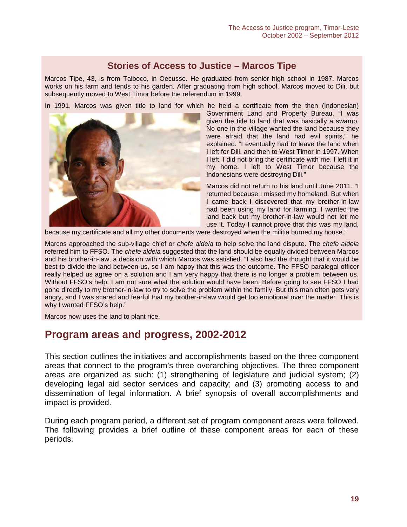# **Stories of Access to Justice – Marcos Tipe**

Marcos Tipe, 43, is from Taiboco, in Oecusse. He graduated from senior high school in 1987. Marcos works on his farm and tends to his garden. After graduating from high school, Marcos moved to Dili, but subsequently moved to West Timor before the referendum in 1999.

In 1991, Marcos was given title to land for which he held a certificate from the then (Indonesian)



Government Land and Property Bureau. "I was given the title to land that was basically a swamp. No one in the village wanted the land because they were afraid that the land had evil spirits," he explained. "I eventually had to leave the land when I left for Dili, and then to West Timor in 1997. When I left, I did not bring the certificate with me. I left it in my home. I left to West Timor because the Indonesians were destroying Dili."

Marcos did not return to his land until June 2011. "I returned because I missed my homeland. But when I came back I discovered that my brother-in-law had been using my land for farming. I wanted the land back but my brother-in-law would not let me use it. Today I cannot prove that this was my land,

because my certificate and all my other documents were destroyed when the militia burned my house."

Marcos approached the sub-village chief or *chefe aldeia* to help solve the land dispute. The *chefe aldeia* referred him to FFSO. The *chefe aldeia* suggested that the land should be equally divided between Marcos and his brother-in-law, a decision with which Marcos was satisfied. "I also had the thought that it would be best to divide the land between us, so I am happy that this was the outcome. The FFSO paralegal officer really helped us agree on a solution and I am very happy that there is no longer a problem between us. Without FFSO's help, I am not sure what the solution would have been. Before going to see FFSO I had gone directly to my brother-in-law to try to solve the problem within the family. But this man often gets very angry, and I was scared and fearful that my brother-in-law would get too emotional over the matter. This is why I wanted FFSO's help."

Marcos now uses the land to plant rice.

# **Program areas and progress, 2002-2012**

This section outlines the initiatives and accomplishments based on the three component areas that connect to the program's three overarching objectives. The three component areas are organized as such: (1) strengthening of legislature and judicial system; (2) developing legal aid sector services and capacity; and (3) promoting access to and dissemination of legal information. A brief synopsis of overall accomplishments and impact is provided.

During each program period, a different set of program component areas were followed. The following provides a brief outline of these component areas for each of these periods.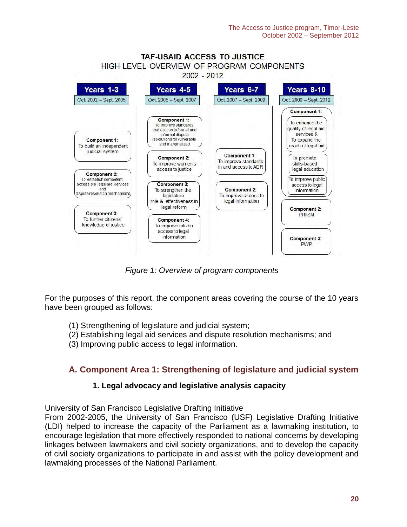

*Figure 1: Overview of program components*

For the purposes of this report, the component areas covering the course of the 10 years have been grouped as follows:

- (1) Strengthening of legislature and judicial system;
- (2) Establishing legal aid services and dispute resolution mechanisms; and
- (3) Improving public access to legal information.

# **A. Component Area 1: Strengthening of legislature and judicial system**

# **1. Legal advocacy and legislative analysis capacity**

#### University of San Francisco Legislative Drafting Initiative

From 2002-2005, the University of San Francisco (USF) Legislative Drafting Initiative (LDI) helped to increase the capacity of the Parliament as a lawmaking institution, to encourage legislation that more effectively responded to national concerns by developing linkages between lawmakers and civil society organizations, and to develop the capacity of civil society organizations to participate in and assist with the policy development and lawmaking processes of the National Parliament.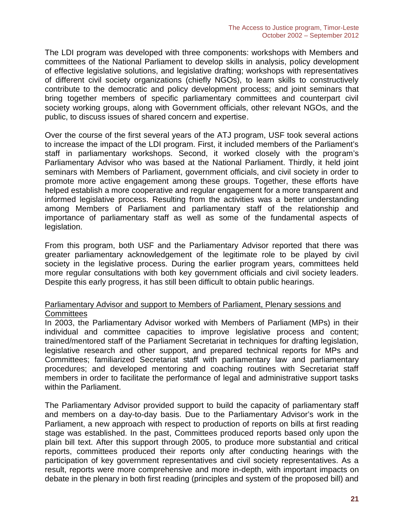The LDI program was developed with three components: workshops with Members and committees of the National Parliament to develop skills in analysis, policy development of effective legislative solutions, and legislative drafting; workshops with representatives of different civil society organizations (chiefly NGOs), to learn skills to constructively contribute to the democratic and policy development process; and joint seminars that bring together members of specific parliamentary committees and counterpart civil society working groups, along with Government officials, other relevant NGOs, and the public, to discuss issues of shared concern and expertise.

Over the course of the first several years of the ATJ program, USF took several actions to increase the impact of the LDI program. First, it included members of the Parliament's staff in parliamentary workshops. Second, it worked closely with the program's Parliamentary Advisor who was based at the National Parliament. Thirdly, it held joint seminars with Members of Parliament, government officials, and civil society in order to promote more active engagement among these groups. Together, these efforts have helped establish a more cooperative and regular engagement for a more transparent and informed legislative process. Resulting from the activities was a better understanding among Members of Parliament and parliamentary staff of the relationship and importance of parliamentary staff as well as some of the fundamental aspects of legislation.

From this program, both USF and the Parliamentary Advisor reported that there was greater parliamentary acknowledgement of the legitimate role to be played by civil society in the legislative process. During the earlier program years, committees held more regular consultations with both key government officials and civil society leaders. Despite this early progress, it has still been difficult to obtain public hearings.

#### Parliamentary Advisor and support to Members of Parliament, Plenary sessions and **Committees**

In 2003, the Parliamentary Advisor worked with Members of Parliament (MPs) in their individual and committee capacities to improve legislative process and content; trained/mentored staff of the Parliament Secretariat in techniques for drafting legislation, legislative research and other support, and prepared technical reports for MPs and Committees; familiarized Secretariat staff with parliamentary law and parliamentary procedures; and developed mentoring and coaching routines with Secretariat staff members in order to facilitate the performance of legal and administrative support tasks within the Parliament.

The Parliamentary Advisor provided support to build the capacity of parliamentary staff and members on a day-to-day basis. Due to the Parliamentary Advisor's work in the Parliament, a new approach with respect to production of reports on bills at first reading stage was established. In the past, Committees produced reports based only upon the plain bill text. After this support through 2005, to produce more substantial and critical reports, committees produced their reports only after conducting hearings with the participation of key government representatives and civil society representatives. As a result, reports were more comprehensive and more in-depth, with important impacts on debate in the plenary in both first reading (principles and system of the proposed bill) and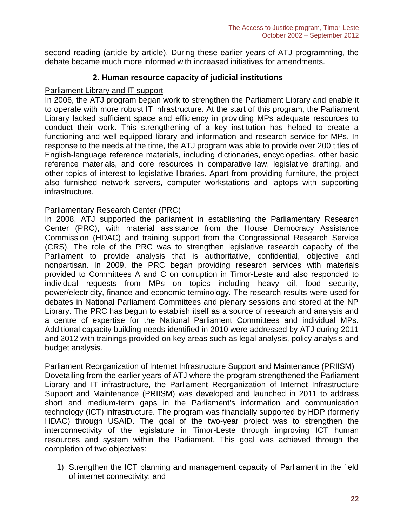second reading (article by article). During these earlier years of ATJ programming, the debate became much more informed with increased initiatives for amendments.

#### **2. Human resource capacity of judicial institutions**

#### Parliament Library and IT support

In 2006, the ATJ program began work to strengthen the Parliament Library and enable it to operate with more robust IT infrastructure. At the start of this program, the Parliament Library lacked sufficient space and efficiency in providing MPs adequate resources to conduct their work. This strengthening of a key institution has helped to create a functioning and well-equipped library and information and research service for MPs. In response to the needs at the time, the ATJ program was able to provide over 200 titles of English-language reference materials, including dictionaries, encyclopedias, other basic reference materials, and core resources in comparative law, legislative drafting, and other topics of interest to legislative libraries. Apart from providing furniture, the project also furnished network servers, computer workstations and laptops with supporting infrastructure.

#### Parliamentary Research Center (PRC)

In 2008, ATJ supported the parliament in establishing the Parliamentary Research Center (PRC), with material assistance from the House Democracy Assistance Commission (HDAC) and training support from the Congressional Research Service (CRS). The role of the PRC was to strengthen legislative research capacity of the Parliament to provide analysis that is authoritative, confidential, objective and nonpartisan. In 2009, the PRC began providing research services with materials provided to Committees A and C on corruption in Timor-Leste and also responded to individual requests from MPs on topics including heavy oil, food security, power/electricity, finance and economic terminology. The research results were used for debates in National Parliament Committees and plenary sessions and stored at the NP Library. The PRC has begun to establish itself as a source of research and analysis and a centre of expertise for the National Parliament Committees and individual MPs. Additional capacity building needs identified in 2010 were addressed by ATJ during 2011 and 2012 with trainings provided on key areas such as legal analysis, policy analysis and budget analysis.

Parliament Reorganization of Internet Infrastructure Support and Maintenance (PRIISM) Dovetailing from the earlier years of ATJ where the program strengthened the Parliament Library and IT infrastructure, the Parliament Reorganization of Internet Infrastructure Support and Maintenance (PRIISM) was developed and launched in 2011 to address short and medium-term gaps in the Parliament's information and communication technology (ICT) infrastructure. The program was financially supported by HDP (formerly HDAC) through USAID. The goal of the two-year project was to strengthen the interconnectivity of the legislature in Timor-Leste through improving ICT human resources and system within the Parliament. This goal was achieved through the completion of two objectives:

1) Strengthen the ICT planning and management capacity of Parliament in the field of internet connectivity; and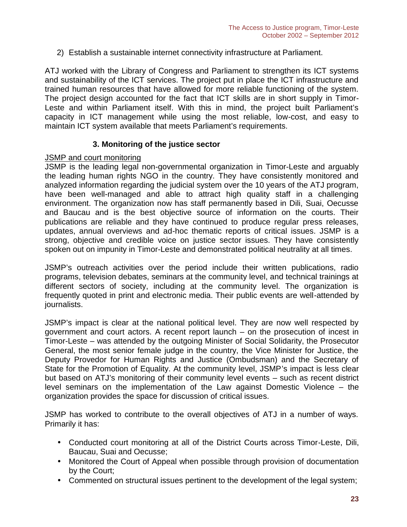2) Establish a sustainable internet connectivity infrastructure at Parliament.

ATJ worked with the Library of Congress and Parliament to strengthen its ICT systems and sustainability of the ICT services. The project put in place the ICT infrastructure and trained human resources that have allowed for more reliable functioning of the system. The project design accounted for the fact that ICT skills are in short supply in Timor- Leste and within Parliament itself. With this in mind, the project built Parliament's capacity in ICT management while using the most reliable, low-cost, and easy to maintain ICT system available that meets Parliament's requirements.

### **3. Monitoring of the justice sector**

#### JSMP and court monitoring

JSMP is the leading legal non-governmental organization in Timor-Leste and arguably the leading human rights NGO in the country. They have consistently monitored and analyzed information regarding the judicial system over the 10 years of the ATJ program, have been well-managed and able to attract high quality staff in a challenging environment. The organization now has staff permanently based in Dili, Suai, Oecusse and Baucau and is the best objective source of information on the courts. Their publications are reliable and they have continued to produce regular press releases, updates, annual overviews and ad-hoc thematic reports of critical issues. JSMP is a strong, objective and credible voice on justice sector issues. They have consistently spoken out on impunity in Timor-Leste and demonstrated political neutrality at all times.

JSMP's outreach activities over the period include their written publications, radio programs, television debates, seminars at the community level, and technical trainings at different sectors of society, including at the community level. The organization is frequently quoted in print and electronic media. Their public events are well-attended by journalists.

JSMP's impact is clear at the national political level. They are now well respected by government and court actors. A recent report launch – on the prosecution of incest in Timor-Leste – was attended by the outgoing Minister of Social Solidarity, the Prosecutor General, the most senior female judge in the country, the Vice Minister for Justice, the Deputy Provedor for Human Rights and Justice (Ombudsman) and the Secretary of State for the Promotion of Equality. At the community level, JSMP's impact is less clear but based on ATJ's monitoring of their community level events – such as recent district level seminars on the implementation of the Law against Domestic Violence – the organization provides the space for discussion of critical issues.

JSMP has worked to contribute to the overall objectives of ATJ in a number of ways. Primarily it has:

- Conducted court monitoring at all of the District Courts across Timor-Leste, Dili, Baucau, Suai and Oecusse;
- Monitored the Court of Appeal when possible through provision of documentation by the Court;
- Commented on structural issues pertinent to the development of the legal system;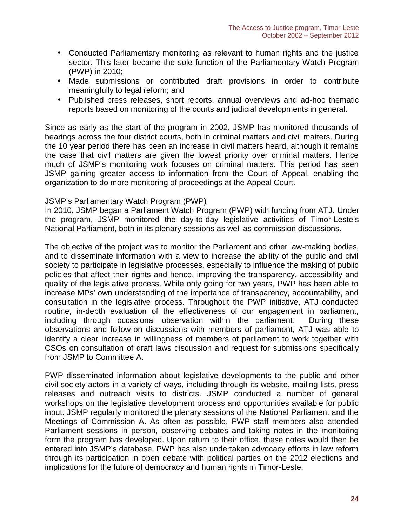- Conducted Parliamentary monitoring as relevant to human rights and the justice sector. This later became the sole function of the Parliamentary Watch Program (PWP) in 2010;
- Made submissions or contributed draft provisions in order to contribute meaningfully to legal reform; and
- Published press releases, short reports, annual overviews and ad-hoc thematic reports based on monitoring of the courts and judicial developments in general.

Since as early as the start of the program in 2002, JSMP has monitored thousands of hearings across the four district courts, both in criminal matters and civil matters. During the 10 year period there has been an increase in civil matters heard, although it remains the case that civil matters are given the lowest priority over criminal matters. Hence much of JSMP's monitoring work focuses on criminal matters. This period has seen JSMP gaining greater access to information from the Court of Appeal, enabling the organization to do more monitoring of proceedings at the Appeal Court.

#### JSMP's Parliamentary Watch Program (PWP)

In 2010, JSMP began a Parliament Watch Program (PWP) with funding from ATJ. Under the program, JSMP monitored the day-to-day legislative activities of Timor-Leste's National Parliament, both in its plenary sessions as well as commission discussions.

The objective of the project was to monitor the Parliament and other law-making bodies, and to disseminate information with a view to increase the ability of the public and civil society to participate in legislative processes, especially to influence the making of public policies that affect their rights and hence, improving the transparency, accessibility and quality of the legislative process. While only going for two years, PWP has been able to increase MPs' own understanding of the importance of transparency, accountability, and consultation in the legislative process. Throughout the PWP initiative, ATJ conducted routine, in-depth evaluation of the effectiveness of our engagement in parliament, including through occasional observation within the parliament. During these observations and follow-on discussions with members of parliament, ATJ was able to identify a clear increase in willingness of members of parliament to work together with CSOs on consultation of draft laws discussion and request for submissions specifically from JSMP to Committee A.

PWP disseminated information about legislative developments to the public and other civil society actors in a variety of ways, including through its website, mailing lists, press releases and outreach visits to districts. JSMP conducted a number of general workshops on the legislative development process and opportunities available for public input. JSMP regularly monitored the plenary sessions of the National Parliament and the Meetings of Commission A. As often as possible, PWP staff members also attended Parliament sessions in person, observing debates and taking notes in the monitoring form the program has developed. Upon return to their office, these notes would then be entered into JSMP's database. PWP has also undertaken advocacy efforts in law reform through its participation in open debate with political parties on the 2012 elections and implications for the future of democracy and human rights in Timor-Leste.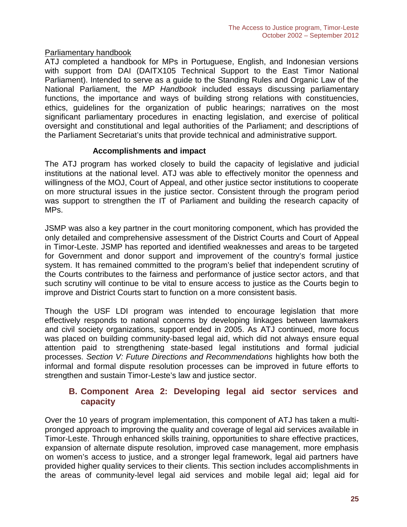#### Parliamentary handbook

ATJ completed a handbook for MPs in Portuguese, English, and Indonesian versions with support from DAI (DAITX105 Technical Support to the East Timor National Parliament). Intended to serve as a guide to the Standing Rules and Organic Law of the National Parliament, the *MP Handbook* included essays discussing parliamentary functions, the importance and ways of building strong relations with constituencies, ethics, guidelines for the organization of public hearings; narratives on the most significant parliamentary procedures in enacting legislation, and exercise of political oversight and constitutional and legal authorities of the Parliament; and descriptions of the Parliament Secretariat's units that provide technical and administrative support.

### **Accomplishments and impact**

The ATJ program has worked closely to build the capacity of legislative and judicial institutions at the national level. ATJ was able to effectively monitor the openness and willingness of the MOJ, Court of Appeal, and other justice sector institutions to cooperate on more structural issues in the justice sector. Consistent through the program period was support to strengthen the IT of Parliament and building the research capacity of MPs.

JSMP was also a key partner in the court monitoring component, which has provided the only detailed and comprehensive assessment of the District Courts and Court of Appeal in Timor-Leste. JSMP has reported and identified weaknesses and areas to be targeted for Government and donor support and improvement of the country's formal justice system. It has remained committed to the program's belief that independent scrutiny of the Courts contributes to the fairness and performance of justice sector actors, and that such scrutiny will continue to be vital to ensure access to justice as the Courts begin to improve and District Courts start to function on a more consistent basis.

Though the USF LDI program was intended to encourage legislation that more effectively responds to national concerns by developing linkages between lawmakers and civil society organizations, support ended in 2005. As ATJ continued, more focus was placed on building community-based legal aid, which did not always ensure equal attention paid to strengthening state-based legal institutions and formal judicial processes. *Section V: Future Directions and Recommendations* highlights how both the informal and formal dispute resolution processes can be improved in future efforts to strengthen and sustain Timor-Leste's law and justice sector.

# **B. Component Area 2: Developing legal aid sector services and capacity**

Over the 10 years of program implementation, this component of ATJ has taken a multi pronged approach to improving the quality and coverage of legal aid services available in Timor-Leste. Through enhanced skills training, opportunities to share effective practices, expansion of alternate dispute resolution, improved case management, more emphasis on women's access to justice, and a stronger legal framework, legal aid partners have provided higher quality services to their clients. This section includes accomplishments in the areas of community-level legal aid services and mobile legal aid; legal aid for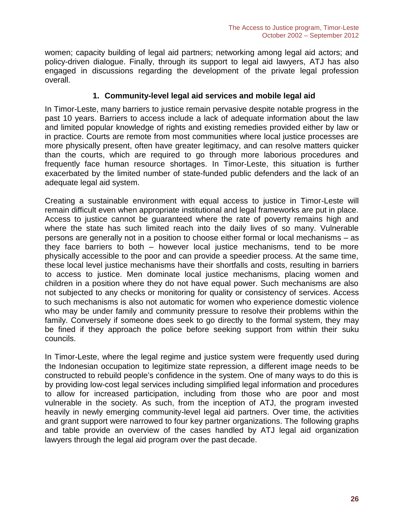women; capacity building of legal aid partners; networking among legal aid actors; and policy-driven dialogue. Finally, through its support to legal aid lawyers, ATJ has also engaged in discussions regarding the development of the private legal profession overall.

#### **1. Community-level legal aid services and mobile legal aid**

In Timor-Leste, many barriers to justice remain pervasive despite notable progress in the past 10 years. Barriers to access include a lack of adequate information about the law and limited popular knowledge of rights and existing remedies provided either by law or in practice. Courts are remote from most communities where local justice processes are more physically present, often have greater legitimacy, and can resolve matters quicker than the courts, which are required to go through more laborious procedures and frequently face human resource shortages. In Timor-Leste, this situation is further exacerbated by the limited number of state-funded public defenders and the lack of an adequate legal aid system.

Creating a sustainable environment with equal access to justice in Timor-Leste will remain difficult even when appropriate institutional and legal frameworks are put in place. Access to justice cannot be guaranteed where the rate of poverty remains high and where the state has such limited reach into the daily lives of so many. Vulnerable persons are generally not in a position to choose either formal or local mechanisms – as they face barriers to both – however local justice mechanisms, tend to be more physically accessible to the poor and can provide a speedier process. At the same time, these local level justice mechanisms have their shortfalls and costs, resulting in barriers to access to justice. Men dominate local justice mechanisms, placing women and children in a position where they do not have equal power. Such mechanisms are also not subjected to any checks or monitoring for quality or consistency of services. Access to such mechanisms is also not automatic for women who experience domestic violence who may be under family and community pressure to resolve their problems within the family. Conversely if someone does seek to go directly to the formal system, they may be fined if they approach the police before seeking support from within their suku councils.

In Timor-Leste, where the legal regime and justice system were frequently used during the Indonesian occupation to legitimize state repression, a different image needs to be constructed to rebuild people's confidence in the system. One of many ways to do this is by providing low-cost legal services including simplified legal information and procedures to allow for increased participation, including from those who are poor and most vulnerable in the society. As such, from the inception of ATJ, the program invested heavily in newly emerging community-level legal aid partners. Over time, the activities and grant support were narrowed to four key partner organizations. The following graphs and table provide an overview of the cases handled by ATJ legal aid organization lawyers through the legal aid program over the past decade.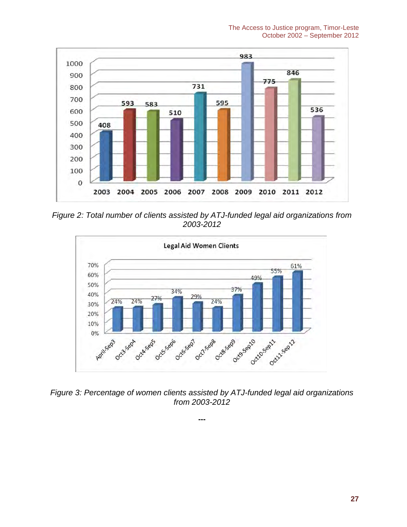

*Figure 2: Total number of clients assisted by ATJ-funded legalaid organizations from 2003-2012*



*Figure 3: Percentage of women clients assisted by ATJ-funded legal aid organizations from 2003-2012*

**---**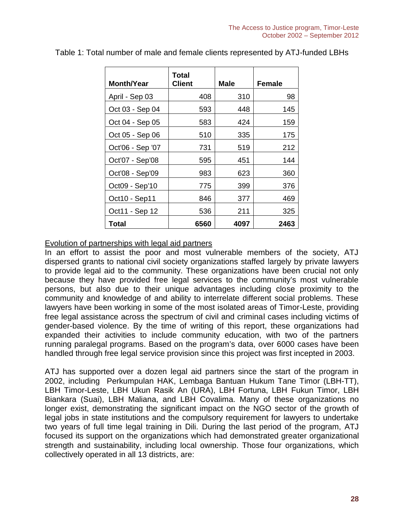| <b>Month/Year</b> | Total<br>Client | Male | Female |
|-------------------|-----------------|------|--------|
| April - Sep 03    | 408             | 310  | 98     |
| Oct 03 - Sep 04   | 593             | 448  | 145    |
| Oct 04 - Sep 05   | 583             | 424  | 159    |
| Oct 05 - Sep 06   | 510             | 335  | 175    |
| Oct'06 - Sep '07  | 731             | 519  | 212    |
| Oct'07 - Sep'08   | 595             | 451  | 144    |
| Oct'08 - Sep'09   | 983             | 623  | 360    |
| Oct09 - Sep'10    | 775             | 399  | 376    |
| Oct10 - Sep11     | 846             | 377  | 469    |
| Oct11 - Sep 12    | 536             | 211  | 325    |
| <b>Total</b>      | 6560            | 4097 | 2463   |

Table 1: Total number of male and female clients represented by ATJ-funded LBHs

#### Evolution of partnerships with legal aid partners

In an effort to assist the poor and most vulnerable members of the society, ATJ dispersed grants to national civil society organizations staffed largely by private lawyers to provide legal aid to the community. These organizations have been crucial not only because they have provided free legal services to the community's most vulnerable persons, but also due to their unique advantages including close proximity to the community and knowledge of and ability to interrelate different social problems. These lawyers have been working in some of the most isolated areas of Timor-Leste, providing free legal assistance across the spectrum of civil and criminal cases including victims of gender-based violence. By the time of writing of this report, these organizations had expanded their activities to include community education, with two of the partners running paralegal programs. Based on the program's data, over 6000 cases have been handled through free legal service provision since this project was first incepted in 2003.

ATJ has supported over a dozen legal aid partners since the start of the program in 2002, including Perkumpulan HAK, Lembaga Bantuan Hukum Tane Timor (LBH-TT), LBH Timor-Leste, LBH Ukun Rasik An (URA), LBH Fortuna, LBH Fukun Timor, LBH Biankara (Suai), LBH Maliana, and LBH Covalima. Many of these organizations no longer exist, demonstrating the significant impact on the NGO sector of the growth of legal jobs in state institutions and the compulsory requirement for lawyers to undertake two years of full time legal training in Dili. During the last period of the program, ATJ focused its support on the organizations which had demonstrated greater organizational strength and sustainability, including local ownership. Those four organizations, which collectively operated in all 13 districts, are: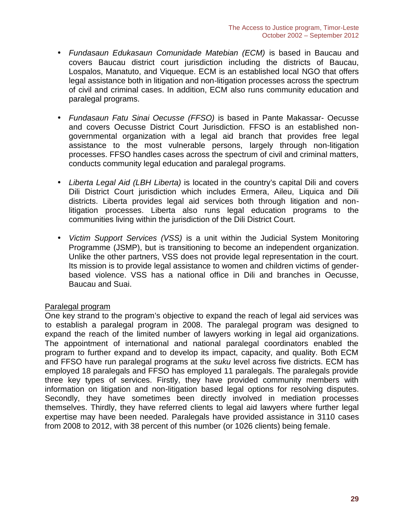- *Fundasaun Edukasaun Comunidade Matebian (ECM)* is based in Baucau and covers Baucau district court jurisdiction including the districts of Baucau, Lospalos, Manatuto, and Viqueque. ECM is an established local NGO that offers legal assistance both in litigation and non-litigation processes across the spectrum of civil and criminal cases. In addition, ECM also runs community education and paralegal programs.
- *Fundasaun Fatu Sinai Oecusse (FFSO)* is based in Pante Makassar- Oecusse and covers Oecusse District Court Jurisdiction. FFSO is an established non governmental organization with a legal aid branch that provides free legal assistance to the most vulnerable persons, largely through non-litigation processes. FFSO handles cases across the spectrum of civil and criminal matters, conducts community legal education and paralegal programs.
- *Liberta Legal Aid (LBH Liberta)* is located in the country's capital Dili and covers Dili District Court jurisdiction which includes Ermera, Aileu, Liquica and Dili districts. Liberta provides legal aid services both through litigation and nonlitigation processes. Liberta also runs legal education programs to the communities living within the jurisdiction of the Dili District Court.
- *Victim Support Services (VSS)* is a unit within the Judicial System Monitoring Programme (JSMP), but is transitioning to become an independent organization. Unlike the other partners, VSS does not provide legal representation in the court. Its mission is to provide legal assistance to women and children victims of gender based violence. VSS has a national office in Dili and branches in Oecusse, Baucau and Suai.

#### Paralegal program

One key strand to the program's objective to expand the reach of legal aid services was to establish a paralegal program in 2008. The paralegal program was designed to expand the reach of the limited number of lawyers working in legal aid organizations. The appointment of international and national paralegal coordinators enabled the program to further expand and to develop its impact, capacity, and quality. Both ECM and FFSO have run paralegal programs at the *suku* level across five districts. ECM has employed 18 paralegals and FFSO has employed 11 paralegals. The paralegals provide three key types of services. Firstly, they have provided community members with information on litigation and non-litigation based legal options for resolving disputes. Secondly, they have sometimes been directly involved in mediation processes themselves. Thirdly, they have referred clients to legal aid lawyers where further legal expertise may have been needed. Paralegals have provided assistance in 3110 cases from 2008 to 2012, with 38 percent of this number (or 1026 clients) being female.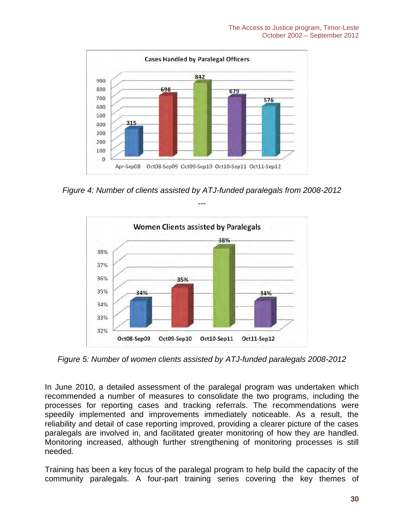

*Figure 4: Number of clients assisted by ATJ-funded paralegals from 2008-2012*



*Figure 5: Number of women clients assisted by ATJ-funded paralegals 2008-2012*

In June 2010, a detailed assessment of the paralegal program was undertaken which recommended a number of measures to consolidate the two programs, including the processes for reporting cases and tracking referrals. The recommendations were speedily implemented and improvements immediately noticeable. As a result, the reliability and detail of case reporting improved, providing a clearer picture of the cases paralegals are involved in, and facilitated greater monitoring of how they are handled. Monitoring increased, although further strengthening of monitoring processes is still needed.

Training has been a key focus of the paralegal program to help build the capacity of the community paralegals. A four-part training series covering the key themes of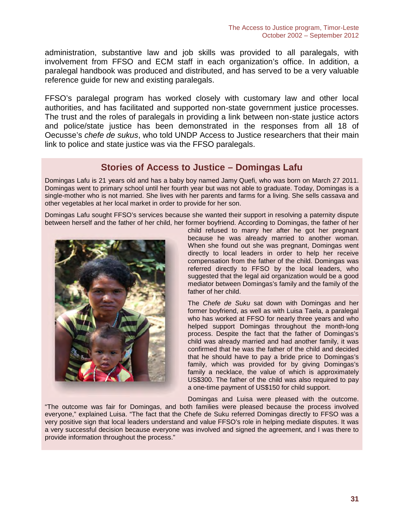administration, substantive law and job skills was provided to all paralegals, with involvement from FFSO and ECM staff in each organization's office. In addition, a paralegal handbook was produced and distributed, and has served to be a very valuable reference guide for new and existing paralegals.

FFSO's paralegal program has worked closely with customary law and other local authorities, and has facilitated and supported non-state government justice processes. The trust and the roles of paralegals in providing a link between non-state justice actors and police/state justice has been demonstrated in the responses from all 18 of Oecusse's *chefe de sukus*, who told UNDP Access to Justice researchers that their main link to police and state justice was via the FFSO paralegals.

# **Stories of Access to Justice – Domingas Lafu**

Domingas Lafu is 21 years old and has a baby boy named Jamy Quefi, who was born on March 27 2011. Domingas went to primary school until her fourth year but was not able to graduate. Today, Domingas is a single-mother who is not married. She lives with her parents and farms for a living. She sells cassava and other vegetables at her local market in order to provide for her son.

Domingas Lafu sought FFSO's services because she wanted their support in resolving a paternity dispute between herself and the father of her child, her former boyfriend. According to Domingas, the father of her



child refused to marry her after he got her pregnant because he was already married to another woman. When she found out she was pregnant, Domingas went directly to local leaders in order to help her receive compensation from the father of the child. Domingas was referred directly to FFSO by the local leaders, who suggested that the legal aid organization would be a good mediator between Domingas's family and the family of the father of her child.

The *Chefe de Suku* sat down with Domingas and her former boyfriend, as well as with Luisa Taela, a paralegal who has worked at FFSO for nearly three years and who helped support Domingas throughout the month-long process. Despite the fact that the father of Domingas's child was already married and had another family, it was confirmed that he was the father of the child and decided that he should have to pay a bride price to Domingas's family, which was provided for by giving Domingas's family a necklace, the value of which is approximately US\$300. The father of the child was also required to pay a one-time payment of US\$150 for child support.

Domingas and Luisa were pleased with the outcome.

"The outcome was fair for Domingas, and both families were pleased because the process involved everyone," explained Luisa. "The fact that the Chefe de Suku referred Domingas directly to FFSO was a very positive sign that local leaders understand and value FFSO's role in helping mediate disputes. It was a very successful decision because everyone was involved and signed the agreement, and I was there to provide information throughout the process."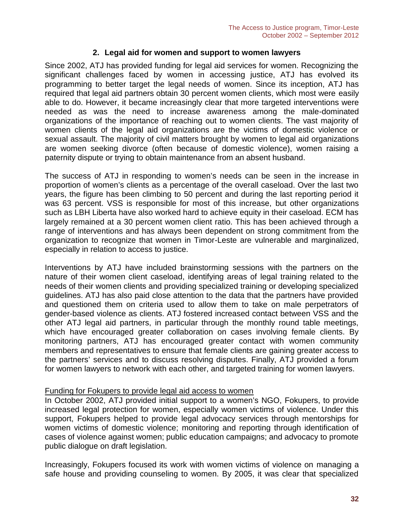#### **2. Legal aid for women and support to women lawyers**

Since 2002, ATJ has provided funding for legal aid services for women. Recognizing the significant challenges faced by women in accessing justice, ATJ has evolved its programming to better target the legal needs of women. Since its inception, ATJ has required that legal aid partners obtain 30 percent women clients, which most were easily able to do. However, it became increasingly clear that more targeted interventions were needed as was the need to increase awareness among the male-dominated organizations of the importance of reaching out to women clients. The vast majority of women clients of the legal aid organizations are the victims of domestic violence or sexual assault. The majority of civil matters brought by women to legal aid organizations are women seeking divorce (often because of domestic violence), women raising a paternity dispute or trying to obtain maintenance from an absent husband.

The success of ATJ in responding to women's needs can be seen in the increase in proportion of women's clients as a percentage of the overall caseload. Over the last two years, the figure has been climbing to 50 percent and during the last reporting period it was 63 percent. VSS is responsible for most of this increase, but other organizations such as LBH Liberta have also worked hard to achieve equity in their caseload. ECM has largely remained at a 30 percent women client ratio. This has been achieved through a range of interventions and has always been dependent on strong commitment from the organization to recognize that women in Timor-Leste are vulnerable and marginalized, especially in relation to access to justice.

Interventions by ATJ have included brainstorming sessions with the partners on the nature of their women client caseload, identifying areas of legal training related to the needs of their women clients and providing specialized training or developing specialized guidelines. ATJ has also paid close attention to the data that the partners have provided and questioned them on criteria used to allow them to take on male perpetrators of gender-based violence as clients. ATJ fostered increased contact between VSS and the other ATJ legal aid partners, in particular through the monthly round table meetings, which have encouraged greater collaboration on cases involving female clients. By monitoring partners, ATJ has encouraged greater contact with women community members and representatives to ensure that female clients are gaining greater access to the partners' services and to discuss resolving disputes. Finally, ATJ provided a forum for women lawyers to network with each other, and targeted training for women lawyers.

#### Funding for Fokupers to provide legal aid access to women

In October 2002, ATJ provided initial support to a women's NGO, Fokupers, to provide increased legal protection for women, especially women victims of violence. Under this support, Fokupers helped to provide legal advocacy services through mentorships for women victims of domestic violence; monitoring and reporting through identification of cases of violence against women; public education campaigns; and advocacy to promote public dialogue on draft legislation.

Increasingly, Fokupers focused its work with women victims of violence on managing a safe house and providing counseling to women. By 2005, it was clear that specialized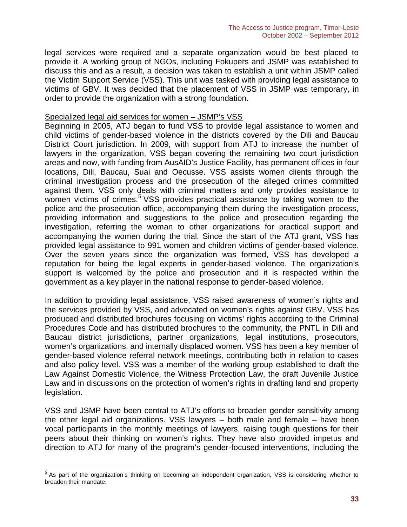legal services were required and a separate organization would be best placed to provide it. A working group of NGOs, including Fokupers and JSMP was established to discuss this and as a result, a decision was taken to establish a unit within JSMP called the Victim Support Service (VSS). This unit was tasked with providing legal assistance to victims of GBV. It was decided that the placement of VSS in JSMP was temporary, in order to provide the organization with a strong foundation.

#### Specialized legal aid services for women – JSMP's VSS

Beginning in 2005, ATJ began to fund VSS to provide legal assistance to women and child victims of gender-based violence in the districts covered by the Dili and Baucau District Court jurisdiction. In 2009, with support from ATJ to increase the number of lawyers in the organization, VSS began covering the remaining two court jurisdiction areas and now, with funding from AusAID's Justice Facility, has permanent offices in four locations, Dili, Baucau, Suai and Oecusse. VSS assists women clients through the criminal investigation process and the prosecution of the alleged crimes committed against them. VSS only deals with criminal matters and only provides assistance to women victims of crimes.<sup>5</sup> VSS provides practical assistance by taking women to the police and the prosecution office, accompanying them during the investigation process, providing information and suggestions to the police and prosecution regarding the investigation, referring the woman to other organizations for practical support and accompanying the women during the trial. Since the start of the ATJ grant, VSS has provided legal assistance to 991 women and children victims of gender-based violence. Over the seven years since the organization was formed, VSS has developed a reputation for being the legal experts in gender-based violence. The organization's support is welcomed by the police and prosecution and it is respected within the government as a key player in the national response to gender-based violence.

In addition to providing legal assistance, VSS raised awareness of women's rights and the services provided by VSS, and advocated on women's rights against GBV. VSS has produced and distributed brochures focusing on victims' rights according to the Criminal Procedures Code and has distributed brochures to the community, the PNTL in Dili and Baucau district jurisdictions, partner organizations, legal institutions, prosecutors, women's organizations, and internally displaced women. VSS has been a key member of gender-based violence referral network meetings, contributing both in relation to cases and also policy level. VSS was a member of the working group established to draft the Law Against Domestic Violence, the Witness Protection Law, the draft Juvenile Justice Law and in discussions on the protection of women's rights in drafting land and property legislation.

VSS and JSMP have been central to ATJ's efforts to broaden gender sensitivity among the other legal aid organizations. VSS lawyers – both male and female – have been vocal participants in the monthly meetings of lawyers, raising tough questions for their peers about their thinking on women's rights. They have also provided impetus and direction to ATJ for many of the program's gender-focused interventions, including the

<sup>&</sup>lt;sup>5</sup> As part of the organization's thinking on becoming an independent organization, VSS is considering whether to broaden their mandate.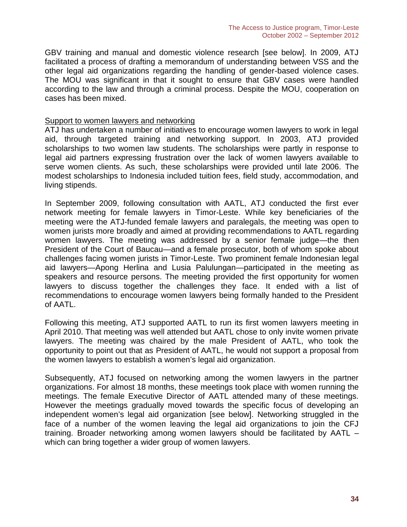GBV training and manual and domestic violence research [see below]. In 2009, ATJ facilitated a process of drafting a memorandum of understanding between VSS and the other legal aid organizations regarding the handling of gender-based violence cases. The MOU was significant in that it sought to ensure that GBV cases were handled according to the law and through a criminal process. Despite the MOU, cooperation on cases has been mixed.

#### Support to women lawyers and networking

ATJ has undertaken a number of initiatives to encourage women lawyers to work in legal aid, through targeted training and networking support. In 2003, ATJ provided scholarships to two women law students. The scholarships were partly in response to legal aid partners expressing frustration over the lack of women lawyers available to serve women clients. As such, these scholarships were provided until late 2006. The modest scholarships to Indonesia included tuition fees, field study, accommodation, and living stipends.

In September 2009, following consultation with AATL, ATJ conducted the first ever network meeting for female lawyers in Timor-Leste. While key beneficiaries of the meeting were the ATJ-funded female lawyers and paralegals, the meeting was open to women jurists more broadly and aimed at providing recommendations to AATL regarding women lawyers. The meeting was addressed by a senior female judge—the then President of the Court of Baucau—and a female prosecutor, both of whom spoke about challenges facing women jurists in Timor-Leste. Two prominent female Indonesian legal aid lawyers—Apong Herlina and Lusia Palulungan—participated in the meeting as speakers and resource persons. The meeting provided the first opportunity for women lawyers to discuss together the challenges they face. It ended with a list of recommendations to encourage women lawyers being formally handed to the President of AATL.

Following this meeting, ATJ supported AATL to run its first women lawyers meeting in April 2010. That meeting was well attended but AATL chose to only invite women private lawyers. The meeting was chaired by the male President of AATL, who took the opportunity to point out that as President of AATL, he would not support a proposal from the women lawyers to establish a women's legal aid organization.

Subsequently, ATJ focused on networking among the women lawyers in the partner organizations. For almost 18 months, these meetings took place with women running the meetings. The female Executive Director of AATL attended many of these meetings. However the meetings gradually moved towards the specific focus of developing an independent women's legal aid organization [see below]. Networking struggled in the face of a number of the women leaving the legal aid organizations to join the CFJ training. Broader networking among women lawyers should be facilitated by AATL – which can bring together a wider group of women lawyers.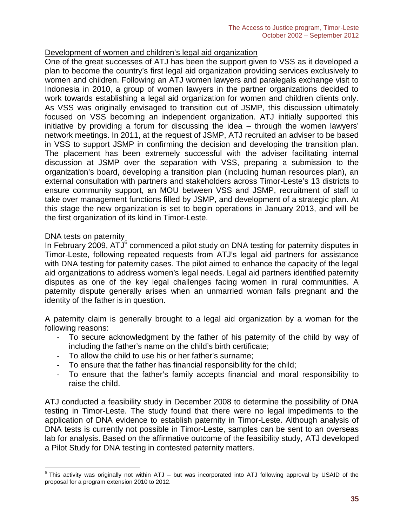#### Development of women and children's legal aid organization

One of the great successes of ATJ has been the support given to VSS as it developed a plan to become the country's first legal aid organization providing services exclusively to women and children. Following an ATJ women lawyers and paralegals exchange visit to Indonesia in 2010, a group of women lawyers in the partner organizations decided to work towards establishing a legal aid organization for women and children clients only. As VSS was originally envisaged to transition out of JSMP, this discussion ultimately focused on VSS becoming an independent organization. ATJ initially supported this initiative by providing a forum for discussing the idea – through the women lawyers' network meetings. In 2011, at the request of JSMP, ATJ recruited an adviser to be based in VSS to support JSMP in confirming the decision and developing the transition plan. The placement has been extremely successful with the adviser facilitating internal discussion at JSMP over the separation with VSS, preparing a submission to the organization's board, developing a transition plan (including human resources plan), an external consultation with partners and stakeholders across Timor-Leste's 13 districts to ensure community support, an MOU between VSS and JSMP, recruitment of staff to take over management functions filled by JSMP, and development of a strategic plan. At this stage the new organization is set to begin operations in January 2013, and will be the first organization of its kind in Timor-Leste.

#### DNA tests on paternity

In February 2009,  $ATJ^6$  commenced a pilot study on DNA testing for paternity disputes in Timor-Leste, following repeated requests from ATJ's legal aid partners for assistance with DNA testing for paternity cases. The pilot aimed to enhance the capacity of the legal aid organizations to address women's legal needs. Legal aid partners identified paternity disputes as one of the key legal challenges facing women in rural communities. A paternity dispute generally arises when an unmarried woman falls pregnant and the identity of the father is in question.

A paternity claim is generally brought to a legal aid organization by a woman for the following reasons:

- To secure acknowledgment by the father of his paternity of the child by way of including the father's name on the child's birth certificate;
- To allow the child to use his or her father's surname;
- To ensure that the father has financial responsibility for the child;<br>- To ensure that the father's family accepts financial and moral
- To ensure that the father's family accepts financial and moral responsibility to raise the child.

ATJ conducted a feasibility study in December 2008 to determine the possibility of DNA testing in Timor-Leste. The study found that there were no legal impediments to the application of DNA evidence to establish paternity in Timor-Leste. Although analysis of DNA tests is currently not possible in Timor-Leste, samples can be sent to an overseas lab for analysis. Based on the affirmative outcome of the feasibility study, ATJ developed a Pilot Study for DNA testing in contested paternity matters.

 $6$  This activity was originally not within ATJ – but was incorporated into ATJ following approval by USAID of the proposal for a program extension 2010 to 2012.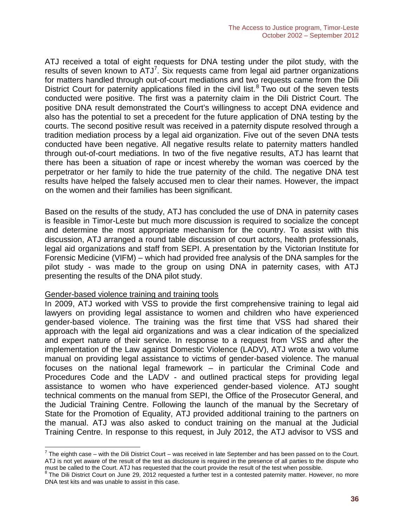ATJ received a total of eight requests for DNA testing under the pilot study, with the results of seven known to  $ATJ<sup>7</sup>$ . Six requests came from legal aid partner organizations for matters handled through out-of-court mediations and two requests came from the Dili District Court for paternity applications filed in the civil list.<sup>8</sup> Two out of the seven tests conducted were positive. The first was a paternity claim in the Dili District Court. The positive DNA result demonstrated the Court's willingness to accept DNA evidence and also has the potential to set a precedent for the future application of DNA testing by the courts. The second positive result was received in a paternity dispute resolved through a tradition mediation process by a legal aid organization. Five out of the seven DNA tests conducted have been negative. All negative results relate to paternity matters handled through out-of-court mediations. In two of the five negative results, ATJ has learnt that there has been a situation of rape or incest whereby the woman was coerced by the perpetrator or her family to hide the true paternity of the child. The negative DNA test results have helped the falsely accused men to clear their names. However, the impact on the women and their families has been significant.

Based on the results of the study, ATJ has concluded the use of DNA in paternity cases is feasible in Timor-Leste but much more discussion is required to socialize the concept and determine the most appropriate mechanism for the country. To assist with this discussion, ATJ arranged a round table discussion of court actors, health professionals, legal aid organizations and staff from SEPI. A presentation by the Victorian Institute for Forensic Medicine (VIFM) – which had provided free analysis of the DNA samples for the pilot study - was made to the group on using DNA in paternity cases, with ATJ presenting the results of the DNA pilot study.

#### Gender-based violence training and training tools

In 2009, ATJ worked with VSS to provide the first comprehensive training to legal aid lawyers on providing legal assistance to women and children who have experienced gender-based violence. The training was the first time that VSS had shared their approach with the legal aid organizations and was a clear indication of the specialized and expert nature of their service. In response to a request from VSS and after the implementation of the Law against Domestic Violence (LADV), ATJ wrote a two volume manual on providing legal assistance to victims of gender-based violence. The manual focuses on the national legal framework – in particular the Criminal Code and Procedures Code and the LADV - and outlined practical steps for providing legal assistance to women who have experienced gender-based violence. ATJ sought technical comments on the manual from SEPI, the Office of the Prosecutor General, and the Judicial Training Centre. Following the launch of the manual by the Secretary of State for the Promotion of Equality, ATJ provided additional training to the partners on the manual. ATJ was also asked to conduct training on the manual at the Judicial Training Centre. In response to this request, in July 2012, the ATJ advisor to VSS and

 $^7$  The eighth case – with the Dili District Court – was received in late September and has been passed on to the Court. ATJ is not yet aware of the result of the test as disclosure is required in the presence of all parties to the dispute who

must be called to the Court. ATJ has requested that the court provide the result of the test when possible.<br><sup>8</sup> The Dili District Court on June 29, 2012 requested a further test in a contested paternity matter. However, no DNA test kits and was unable to assist in this case.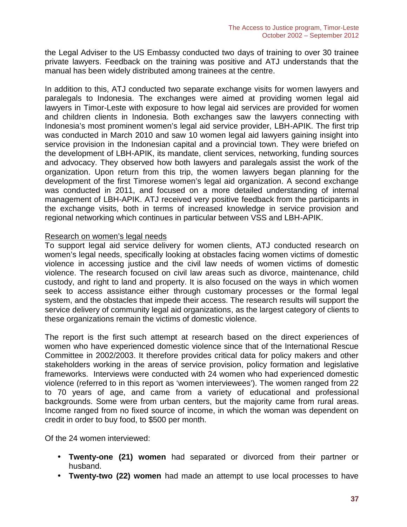the Legal Adviser to the US Embassy conducted two days of training to over 30 trainee private lawyers. Feedback on the training was positive and ATJ understands that the manual has been widely distributed among trainees at the centre.

In addition to this, ATJ conducted two separate exchange visits for women lawyers and paralegals to Indonesia. The exchanges were aimed at providing women legal aid lawyers in Timor-Leste with exposure to how legal aid services are provided for women and children clients in Indonesia. Both exchanges saw the lawyers connecting with Indonesia's most prominent women's legal aid service provider, LBH-APIK. The first trip was conducted in March 2010 and saw 10 women legal aid lawyers gaining insight into service provision in the Indonesian capital and a provincial town. They were briefed on the development of LBH-APIK, its mandate, client services, networking, funding sources and advocacy. They observed how both lawyers and paralegals assist the work of the organization. Upon return from this trip, the women lawyers began planning for the development of the first Timorese women's legal aid organization. A second exchange was conducted in 2011, and focused on a more detailed understanding of internal management of LBH-APIK. ATJ received very positive feedback from the participants in the exchange visits, both in terms of increased knowledge in service provision and regional networking which continues in particular between VSS and LBH-APIK.

#### Research on women's legal needs

To support legal aid service delivery for women clients, ATJ conducted research on women's legal needs, specifically looking at obstacles facing women victims of domestic violence in accessing justice and the civil law needs of women victims of domestic violence. The research focused on civil law areas such as divorce, maintenance, child custody, and right to land and property. It is also focused on the ways in which women seek to access assistance either through customary processes or the formal legal system, and the obstacles that impede their access. The research results will support the service delivery of community legal aid organizations, as the largest category of clients to these organizations remain the victims of domestic violence.

The report is the first such attempt at research based on the direct experiences of women who have experienced domestic violence since that of the International Rescue Committee in 2002/2003. It therefore provides critical data for policy makers and other stakeholders working in the areas of service provision, policy formation and legislative frameworks. Interviews were conducted with 24 women who had experienced domestic violence (referred to in this report as 'women interviewees'). The women ranged from 22 to 70 years of age, and came from a variety of educational and professional backgrounds. Some were from urban centers, but the majority came from rural areas. Income ranged from no fixed source of income, in which the woman was dependent on credit in order to buy food, to \$500 per month.

Of the 24 women interviewed:

- **Twenty-one (21) women** had separated or divorced from their partner or husband.
- **Twenty-two (22) women** had made an attempt to use local processes to have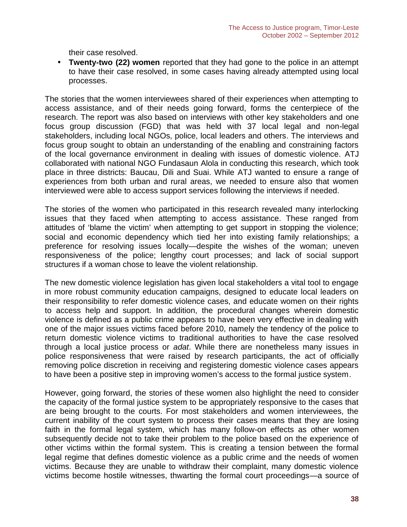their case resolved.

 **Twenty-two (22) women** reported that they had gone to the police in an attempt to have their case resolved, in some cases having already attempted using local processes.

The stories that the women interviewees shared of their experiences when attempting to access assistance, and of their needs going forward, forms the centerpiece of the research. The report was also based on interviews with other key stakeholders and one focus group discussion (FGD) that was held with 37 local legal and non-legal stakeholders, including local NGOs, police, local leaders and others. The interviews and focus group sought to obtain an understanding of the enabling and constraining factors of the local governance environment in dealing with issues of domestic violence. ATJ collaborated with national NGO Fundasaun Alola in conducting this research, which took place in three districts: Baucau, Dili and Suai. While ATJ wanted to ensure a range of experiences from both urban and rural areas, we needed to ensure also that women interviewed were able to access support services following the interviews if needed.

The stories of the women who participated in this research revealed many interlocking issues that they faced when attempting to access assistance. These ranged from attitudes of 'blame the victim' when attempting to get support in stopping the violence; social and economic dependency which tied her into existing family relationships; a preference for resolving issues locally—despite the wishes of the woman; uneven responsiveness of the police; lengthy court processes; and lack of social support structures if a woman chose to leave the violent relationship.

The new domestic violence legislation has given local stakeholders a vital tool to engage in more robust community education campaigns, designed to educate local leaders on their responsibility to refer domestic violence cases, and educate women on their rights to access help and support. In addition, the procedural changes wherein domestic violence is defined as a public crime appears to have been very effective in dealing with one of the major issues victims faced before 2010, namely the tendency of the police to return domestic violence victims to traditional authorities to have the case resolved through a local justice process or *adat*. While there are nonetheless many issues in police responsiveness that were raised by research participants, the act of officially removing police discretion in receiving and registering domestic violence cases appears to have been a positive step in improving women's access to the formal justice system.

However, going forward, the stories of these women also highlight the need to consider the capacity of the formal justice system to be appropriately responsive to the cases that are being brought to the courts. For most stakeholders and women interviewees, the current inability of the court system to process their cases means that they are losing faith in the formal legal system, which has many follow-on effects as other women subsequently decide not to take their problem to the police based on the experience of other victims within the formal system. This is creating a tension between the formal legal regime that defines domestic violence as a public crime and the needs of women victims. Because they are unable to withdraw their complaint, many domestic violence victims become hostile witnesses, thwarting the formal court proceedings—a source of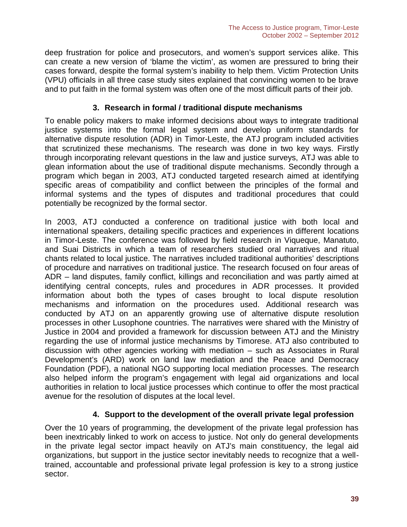deep frustration for police and prosecutors, and women's support services alike. This can create a new version of 'blame the victim', as women are pressured to bring their cases forward, despite the formal system's inability to help them. Victim Protection Units (VPU) officials in all three case study sites explained that convincing women to be brave and to put faith in the formal system was often one of the most difficult parts of their job.

#### **3. Research in formal / traditional dispute mechanisms**

To enable policy makers to make informed decisions about ways to integrate traditional justice systems into the formal legal system and develop uniform standards for alternative dispute resolution (ADR) in Timor-Leste, the ATJ program included activities that scrutinized these mechanisms. The research was done in two key ways. Firstly through incorporating relevant questions in the law and justice surveys, ATJ was able to glean information about the use of traditional dispute mechanisms. Secondly through a program which began in 2003, ATJ conducted targeted research aimed at identifying specific areas of compatibility and conflict between the principles of the formal and informal systems and the types of disputes and traditional procedures that could potentially be recognized by the formal sector.

In 2003, ATJ conducted a conference on traditional justice with both local and international speakers, detailing specific practices and experiences in different locations in Timor-Leste. The conference was followed by field research in Viqueque, Manatuto, and Suai Districts in which a team of researchers studied oral narratives and ritual chants related to local justice. The narratives included traditional authorities' descriptions of procedure and narratives on traditional justice. The research focused on four areas of ADR – land disputes, family conflict, killings and reconciliation and was partly aimed at identifying central concepts, rules and procedures in ADR processes. It provided information about both the types of cases brought to local dispute resolution mechanisms and information on the procedures used. Additional research was conducted by ATJ on an apparently growing use of alternative dispute resolution processes in other Lusophone countries. The narratives were shared with the Ministry of Justice in 2004 and provided a framework for discussion between ATJ and the Ministry regarding the use of informal justice mechanisms by Timorese. ATJ also contributed to discussion with other agencies working with mediation – such as Associates in Rural Development's (ARD) work on land law mediation and the Peace and Democracy Foundation (PDF), a national NGO supporting local mediation processes. The research also helped inform the program's engagement with legal aid organizations and local authorities in relation to local justice processes which continue to offer the most practical avenue for the resolution of disputes at the local level.

# **4. Support to the development of the overall private legal profession**

Over the 10 years of programming, the development of the private legal profession has been inextricably linked to work on access to justice. Not only do general developments in the private legal sector impact heavily on ATJ's main constituency, the legal aid organizations, but support in the justice sector inevitably needs to recognize that a welltrained, accountable and professional private legal profession is key to a strong justice sector.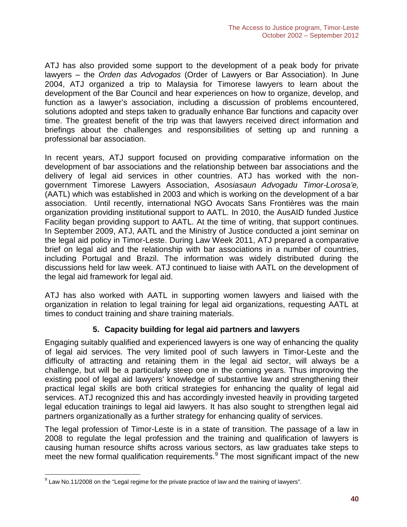ATJ has also provided some support to the development of a peak body for private lawyers – the *Orden das Advogados* (Order of Lawyers or Bar Association). In June 2004, ATJ organized a trip to Malaysia for Timorese lawyers to learn about the development of the Bar Council and hear experiences on how to organize, develop, and function as a lawyer's association, including a discussion of problems encountered, solutions adopted and steps taken to gradually enhance Bar functions and capacity over time. The greatest benefit of the trip was that lawyers received direct information and briefings about the challenges and responsibilities of setting up and running a professional bar association.

In recent years, ATJ support focused on providing comparative information on the development of bar associations and the relationship between bar associations and the delivery of legal aid services in other countries. ATJ has worked with the non government Timorese Lawyers Association, *Asosiasaun Advogadu Timor-Lorosa'e,* (AATL) which was established in 2003 and which is working on the development of a bar association. Until recently, international NGO Avocats Sans Frontières was the main organization providing institutional support to AATL. In 2010, the AusAID funded Justice Facility began providing support to AATL. At the time of writing, that support continues. In September 2009, ATJ, AATL and the Ministry of Justice conducted a joint seminar on the legal aid policy in Timor-Leste. During Law Week 2011, ATJ prepared a comparative brief on legal aid and the relationship with bar associations in a number of countries, including Portugal and Brazil. The information was widely distributed during the discussions held for law week. ATJ continued to liaise with AATL on the development of the legal aid framework for legal aid.

ATJ has also worked with AATL in supporting women lawyers and liaised with the organization in relation to legal training for legal aid organizations, requesting AATL at times to conduct training and share training materials.

# **5. Capacity building for legal aid partners and lawyers**

Engaging suitably qualified and experienced lawyers is one way of enhancing the quality of legal aid services. The very limited pool of such lawyers in Timor-Leste and the difficulty of attracting and retaining them in the legal aid sector, will always be a challenge, but will be a particularly steep one in the coming years. Thus improving the existing pool of legal aid lawyers' knowledge of substantive law and strengthening their practical legal skills are both critical strategies for enhancing the quality of legal aid services. ATJ recognized this and has accordingly invested heavily in providing targeted legal education trainings to legal aid lawyers. It has also sought to strengthen legal aid partners organizationally as a further strategy for enhancing quality of services.

The legal profession of Timor-Leste is in a state of transition. The passage of a law in 2008 to regulate the legal profession and the training and qualification of lawyers is causing human resource shifts across various sectors, as law graduates take steps to meet the new formal qualification requirements.<sup>9</sup> The most significant impact of the new

 $9$  Law No.11/2008 on the "Legal regime for the private practice of law and the training of lawyers".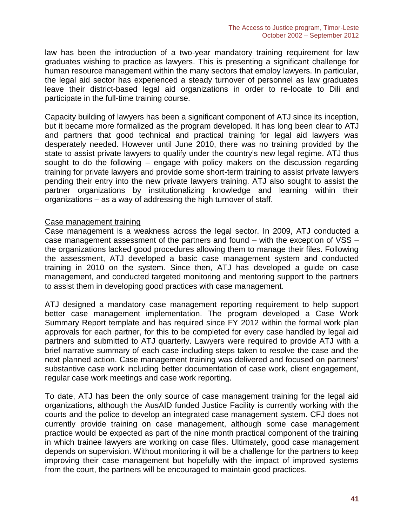law has been the introduction of a two-year mandatory training requirement for law graduates wishing to practice as lawyers. This is presenting a significant challenge for human resource management within the many sectors that employ lawyers. In particular, the legal aid sector has experienced a steady turnover of personnel as law graduates leave their district-based legal aid organizations in order to re-locate to Dili and participate in the full-time training course.

Capacity building of lawyers has been a significant component of ATJ since its inception, but it became more formalized as the program developed. It has long been clear to ATJ and partners that good technical and practical training for legal aid lawyers was desperately needed. However until June 2010, there was no training provided by the state to assist private lawyers to qualify under the country's new legal regime. ATJ thus sought to do the following – engage with policy makers on the discussion regarding training for private lawyers and provide some short-term training to assist private lawyers pending their entry into the new private lawyers training. ATJ also sought to assist the partner organizations by institutionalizing knowledge and learning within their organizations – as a way of addressing the high turnover of staff.

#### Case management training

Case management is a weakness across the legal sector. In 2009, ATJ conducted a case management assessment of the partners and found – with the exception of VSS – the organizations lacked good procedures allowing them to manage their files. Following the assessment, ATJ developed a basic case management system and conducted training in 2010 on the system. Since then, ATJ has developed a guide on case management, and conducted targeted monitoring and mentoring support to the partners to assist them in developing good practices with case management.

ATJ designed a mandatory case management reporting requirement to help support better case management implementation. The program developed a Case Work Summary Report template and has required since FY 2012 within the formal work plan approvals for each partner, for this to be completed for every case handled by legal aid partners and submitted to ATJ quarterly. Lawyers were required to provide ATJ with a brief narrative summary of each case including steps taken to resolve the case and the next planned action. Case management training was delivered and focused on partners' substantive case work including better documentation of case work, client engagement, regular case work meetings and case work reporting.

To date, ATJ has been the only source of case management training for the legal aid organizations, although the AusAID funded Justice Facility is currently working with the courts and the police to develop an integrated case management system. CFJ does not currently provide training on case management, although some case management practice would be expected as part of the nine month practical component of the training in which trainee lawyers are working on case files. Ultimately, good case management depends on supervision. Without monitoring it will be a challenge for the partners to keep improving their case management but hopefully with the impact of improved systems from the court, the partners will be encouraged to maintain good practices.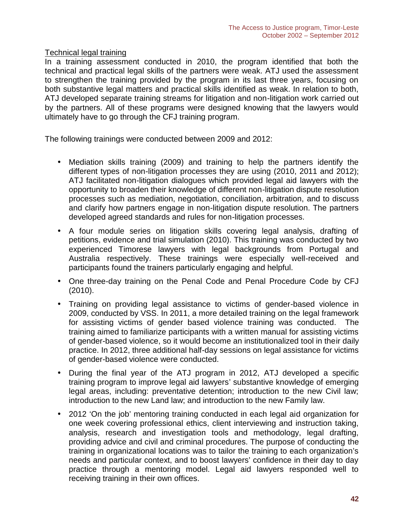#### Technical legal training

In a training assessment conducted in 2010, the program identified that both the technical and practical legal skills of the partners were weak. ATJ used the assessment to strengthen the training provided by the program in its last three years, focusing on both substantive legal matters and practical skills identified as weak. In relation to both, ATJ developed separate training streams for litigation and non-litigation work carried out by the partners. All of these programs were designed knowing that the lawyers would ultimately have to go through the CFJ training program.

The following trainings were conducted between 2009 and 2012:

- Mediation skills training (2009) and training to help the partners identify the different types of non-litigation processes they are using (2010, 2011 and 2012); ATJ facilitated non-litigation dialogues which provided legal aid lawyers with the opportunity to broaden their knowledge of different non-litigation dispute resolution processes such as mediation, negotiation, conciliation, arbitration, and to discuss and clarify how partners engage in non-litigation dispute resolution. The partners developed agreed standards and rules for non-litigation processes.
- A four module series on litigation skills covering legal analysis, drafting of petitions, evidence and trial simulation (2010). This training was conducted by two experienced Timorese lawyers with legal backgrounds from Portugal and Australia respectively. These trainings were especially well-received and participants found the trainers particularly engaging and helpful.
- One three-day training on the Penal Code and Penal Procedure Code by CFJ (2010).
- Training on providing legal assistance to victims of gender-based violence in 2009, conducted by VSS. In 2011, a more detailed training on the legal framework for assisting victims of gender based violence training was conducted. The training aimed to familiarize participants with a written manual for assisting victims of gender-based violence, so it would become an institutionalized tool in their daily practice. In 2012, three additional half-day sessions on legal assistance for victims of gender-based violence were conducted.
- During the final year of the ATJ program in 2012, ATJ developed a specific training program to improve legal aid lawyers' substantive knowledge of emerging legal areas, including: preventative detention; introduction to the new Civil law; introduction to the new Land law; and introduction to the new Family law.
- 2012 'On the job' mentoring training conducted in each legal aid organization for one week covering professional ethics, client interviewing and instruction taking, analysis, research and investigation tools and methodology, legal drafting, providing advice and civil and criminal procedures. The purpose of conducting the training in organizational locations was to tailor the training to each organization's needs and particular context, and to boost lawyers' confidence in their day to day practice through a mentoring model. Legal aid lawyers responded well to receiving training in their own offices.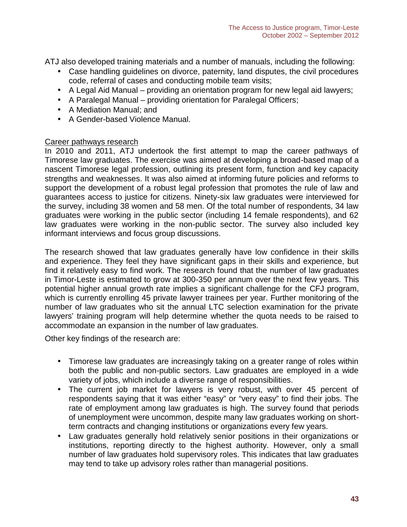ATJ also developed training materials and a number of manuals, including the following:

- Case handling guidelines on divorce, paternity, land disputes, the civil procedures code, referral of cases and conducting mobile team visits;
- A Legal Aid Manual providing an orientation program for new legal aid lawyers;
- A Paralegal Manual providing orientation for Paralegal Officers;
- A Mediation Manual; and
- A Gender-based Violence Manual.

### Career pathways research

In 2010 and 2011, ATJ undertook the first attempt to map the career pathways of Timorese law graduates. The exercise was aimed at developing a broad-based map of a nascent Timorese legal profession, outlining its present form, function and key capacity strengths and weaknesses. It was also aimed at informing future policies and reforms to support the development of a robust legal profession that promotes the rule of law and guarantees access to justice for citizens. Ninety-six law graduates were interviewed for the survey, including 38 women and 58 men. Of the total number of respondents, 34 law graduates were working in the public sector (including 14 female respondents), and 62 law graduates were working in the non-public sector. The survey also included key informant interviews and focus group discussions.

The research showed that law graduates generally have low confidence in their skills and experience. They feel they have significant gaps in their skills and experience, but find it relatively easy to find work. The research found that the number of law graduates in Timor-Leste is estimated to grow at 300-350 per annum over the next few years. This potential higher annual growth rate implies a significant challenge for the CFJ program, which is currently enrolling 45 private lawyer trainees per year. Further monitoring of the number of law graduates who sit the annual LTC selection examination for the private lawyers' training program will help determine whether the quota needs to be raised to accommodate an expansion in the number of law graduates.

Other key findings of the research are:

- Timorese law graduates are increasingly taking on a greater range of roles within both the public and non-public sectors. Law graduates are employed in a wide variety of jobs, which include a diverse range of responsibilities.
- The current job market for lawyers is very robust, with over 45 percent of respondents saying that it was either "easy" or "very easy" to find their jobs. The rate of employment among law graduates is high. The survey found that periods of unemployment were uncommon, despite many law graduates working on shortterm contracts and changing institutions or organizations every few years.
- Law graduates generally hold relatively senior positions in their organizations or institutions, reporting directly to the highest authority. However, only a small number of law graduates hold supervisory roles. This indicates that law graduates may tend to take up advisory roles rather than managerial positions.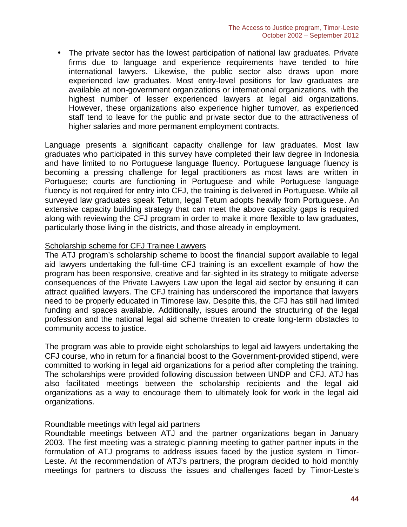The private sector has the lowest participation of national law graduates. Private firms due to language and experience requirements have tended to hire international lawyers. Likewise, the public sector also draws upon more experienced law graduates. Most entry-level positions for law graduates are available at non-government organizations or international organizations, with the highest number of lesser experienced lawyers at legal aid organizations. However, these organizations also experience higher turnover, as experienced staff tend to leave for the public and private sector due to the attractiveness of higher salaries and more permanent employment contracts.

Language presents a significant capacity challenge for law graduates. Most law graduates who participated in this survey have completed their law degree in Indonesia and have limited to no Portuguese language fluency. Portuguese language fluency is becoming a pressing challenge for legal practitioners as most laws are written in Portuguese; courts are functioning in Portuguese and while Portuguese language fluency is not required for entry into CFJ, the training is delivered in Portuguese. While all surveyed law graduates speak Tetum, legal Tetum adopts heavily from Portuguese. An extensive capacity building strategy that can meet the above capacity gaps is required along with reviewing the CFJ program in order to make it more flexible to law graduates, particularly those living in the districts, and those already in employment.

#### Scholarship scheme for CFJ Trainee Lawyers

The ATJ program's scholarship scheme to boost the financial support available to legal aid lawyers undertaking the full-time CFJ training is an excellent example of how the program has been responsive, creative and far-sighted in its strategy to mitigate adverse consequences of the Private Lawyers Law upon the legal aid sector by ensuring it can attract qualified lawyers. The CFJ training has underscored the importance that lawyers need to be properly educated in Timorese law. Despite this, the CFJ has still had limited funding and spaces available. Additionally, issues around the structuring of the legal profession and the national legal aid scheme threaten to create long-term obstacles to community access to justice.

The program was able to provide eight scholarships to legal aid lawyers undertaking the CFJ course, who in return for a financial boost to the Government-provided stipend, were committed to working in legal aid organizations for a period after completing the training. The scholarships were provided following discussion between UNDP and CFJ. ATJ has also facilitated meetings between the scholarship recipients and the legal aid organizations as a way to encourage them to ultimately look for work in the legal aid organizations.

#### Roundtable meetings with legal aid partners

Roundtable meetings between ATJ and the partner organizations began in January 2003. The first meeting was a strategic planning meeting to gather partner inputs in the formulation of ATJ programs to address issues faced by the justice system in Timor- Leste. At the recommendation of ATJ's partners, the program decided to hold monthly meetings for partners to discuss the issues and challenges faced by Timor-Leste's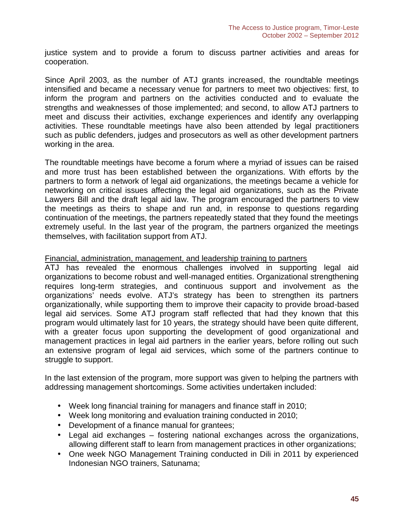justice system and to provide a forum to discuss partner activities and areas for cooperation.

Since April 2003, as the number of ATJ grants increased, the roundtable meetings intensified and became a necessary venue for partners to meet two objectives: first, to inform the program and partners on the activities conducted and to evaluate the strengths and weaknesses of those implemented; and second, to allow ATJ partners to meet and discuss their activities, exchange experiences and identify any overlapping activities. These roundtable meetings have also been attended by legal practitioners such as public defenders, judges and prosecutors as well as other development partners working in the area.

The roundtable meetings have become a forum where a myriad of issues can be raised and more trust has been established between the organizations. With efforts by the partners to form a network of legal aid organizations, the meetings became a vehicle for networking on critical issues affecting the legal aid organizations, such as the Private Lawyers Bill and the draft legal aid law. The program encouraged the partners to view the meetings as theirs to shape and run and, in response to questions regarding continuation of the meetings, the partners repeatedly stated that they found the meetings extremely useful. In the last year of the program, the partners organized the meetings themselves, with facilitation support from ATJ.

#### Financial, administration, management, and leadership training to partners

ATJ has revealed the enormous challenges involved in supporting legal aid organizations to become robust and well-managed entities. Organizational strengthening requires long-term strategies, and continuous support and involvement as the organizations' needs evolve. ATJ's strategy has been to strengthen its partners organizationally, while supporting them to improve their capacity to provide broad-based legal aid services. Some ATJ program staff reflected that had they known that this program would ultimately last for 10 years, the strategy should have been quite different, with a greater focus upon supporting the development of good organizational and management practices in legal aid partners in the earlier years, before rolling out such an extensive program of legal aid services, which some of the partners continue to struggle to support.

In the last extension of the program, more support was given to helping the partners with addressing management shortcomings. Some activities undertaken included:

- Week long financial training for managers and finance staff in 2010;
- Week long monitoring and evaluation training conducted in 2010;
- Development of a finance manual for grantees;
- Legal aid exchanges fostering national exchanges across the organizations, allowing different staff to learn from management practices in other organizations;
- One week NGO Management Training conducted in Dili in 2011 by experienced Indonesian NGO trainers, Satunama;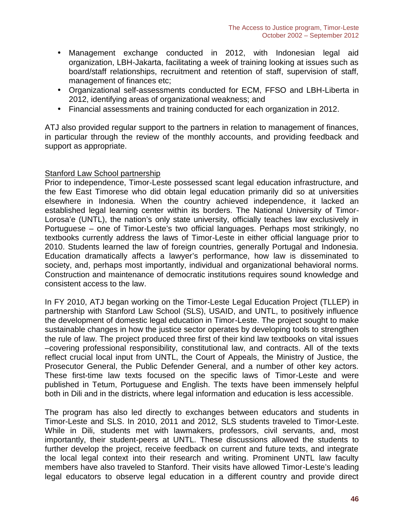- Management exchange conducted in 2012, with Indonesian legal aid organization, LBH-Jakarta, facilitating a week of training looking at issues such as board/staff relationships, recruitment and retention of staff, supervision of staff, management of finances etc;
- Organizational self-assessments conducted for ECM, FFSO and LBH-Liberta in 2012, identifying areas of organizational weakness; and
- Financial assessments and training conducted for each organization in 2012.

ATJ also provided regular support to the partners in relation to management of finances, in particular through the review of the monthly accounts, and providing feedback and support as appropriate.

#### Stanford Law School partnership

Prior to independence, Timor-Leste possessed scant legal education infrastructure, and the few East Timorese who did obtain legal education primarily did so at universities elsewhere in Indonesia. When the country achieved independence, it lacked an established legal learning center within its borders. The National University of Timor- Lorosa'e (UNTL), the nation's only state university, officially teaches law exclusively in Portuguese – one of Timor-Leste's two official languages. Perhaps most strikingly, no textbooks currently address the laws of Timor-Leste in either official language prior to 2010. Students learned the law of foreign countries, generally Portugal and Indonesia. Education dramatically affects a lawyer's performance, how law is disseminated to society, and, perhaps most importantly, individual and organizational behavioral norms. Construction and maintenance of democratic institutions requires sound knowledge and consistent access to the law.

In FY 2010, ATJ began working on the Timor-Leste Legal Education Project (TLLEP) in partnership with Stanford Law School (SLS), USAID, and UNTL, to positively influence the development of domestic legal education in Timor-Leste. The project sought to make sustainable changes in how the justice sector operates by developing tools to strengthen the rule of law. The project produced three first of their kind law textbooks on vital issues –covering professional responsibility, constitutional law, and contracts. All of the texts reflect crucial local input from UNTL, the Court of Appeals, the Ministry of Justice, the Prosecutor General, the Public Defender General, and a number of other key actors. These first-time law texts focused on the specific laws of Timor-Leste and were published in Tetum, Portuguese and English. The texts have been immensely helpful both in Dili and in the districts, where legal information and education is less accessible.

The program has also led directly to exchanges between educators and students in Timor-Leste and SLS. In 2010, 2011 and 2012, SLS students traveled to Timor-Leste. While in Dili, students met with lawmakers, professors, civil servants, and, most importantly, their student-peers at UNTL. These discussions allowed the students to further develop the project, receive feedback on current and future texts, and integrate the local legal context into their research and writing. Prominent UNTL law faculty members have also traveled to Stanford. Their visits have allowed Timor-Leste's leading legal educators to observe legal education in a different country and provide direct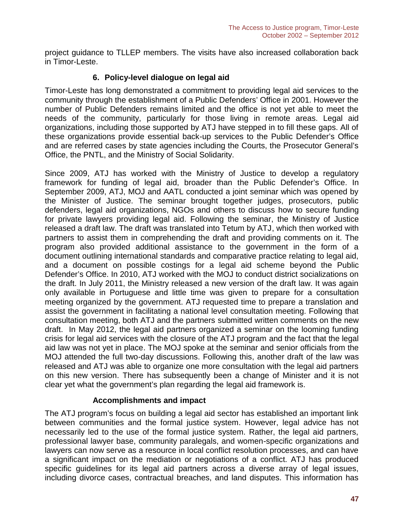project guidance to TLLEP members. The visits have also increased collaboration back in Timor-Leste.

### **6. Policy-level dialogue on legal aid**

Timor-Leste has long demonstrated a commitment to providing legal aid services to the community through the establishment of a Public Defenders' Office in 2001. However the number of Public Defenders remains limited and the office is not yet able to meet the needs of the community, particularly for those living in remote areas. Legal aid organizations, including those supported by ATJ have stepped in to fill these gaps. All of these organizations provide essential back-up services to the Public Defender's Office and are referred cases by state agencies including the Courts, the Prosecutor General's Office, the PNTL, and the Ministry of Social Solidarity.

Since 2009, ATJ has worked with the Ministry of Justice to develop a regulatory framework for funding of legal aid, broader than the Public Defender's Office. In September 2009, ATJ, MOJ and AATL conducted a joint seminar which was opened by the Minister of Justice. The seminar brought together judges, prosecutors, public defenders, legal aid organizations, NGOs and others to discuss how to secure funding for private lawyers providing legal aid. Following the seminar, the Ministry of Justice released a draft law. The draft was translated into Tetum by ATJ, which then worked with partners to assist them in comprehending the draft and providing comments on it. The program also provided additional assistance to the government in the form of a document outlining international standards and comparative practice relating to legal aid, and a document on possible costings for a legal aid scheme beyond the Public Defender's Office. In 2010, ATJ worked with the MOJ to conduct district socializations on the draft. In July 2011, the Ministry released a new version of the draft law. It was again only available in Portuguese and little time was given to prepare for a consultation meeting organized by the government. ATJ requested time to prepare a translation and assist the government in facilitating a national level consultation meeting. Following that consultation meeting, both ATJ and the partners submitted written comments on the new draft. In May 2012, the legal aid partners organized a seminar on the looming funding crisis for legal aid services with the closure of the ATJ program and the fact that the legal aid law was not yet in place. The MOJ spoke at the seminar and senior officials from the MOJ attended the full two-day discussions. Following this, another draft of the law was released and ATJ was able to organize one more consultation with the legal aid partners on this new version. There has subsequently been a change of Minister and it is not clear yet what the government's plan regarding the legal aid framework is.

#### **Accomplishments and impact**

The ATJ program's focus on building a legal aid sector has established an important link between communities and the formal justice system. However, legal advice has not necessarily led to the use of the formal justice system. Rather, the legal aid partners, professional lawyer base, community paralegals, and women-specific organizations and lawyers can now serve as a resource in local conflict resolution processes, and can have a significant impact on the mediation or negotiations of a conflict. ATJ has produced specific guidelines for its legal aid partners across a diverse array of legal issues, including divorce cases, contractual breaches, and land disputes. This information has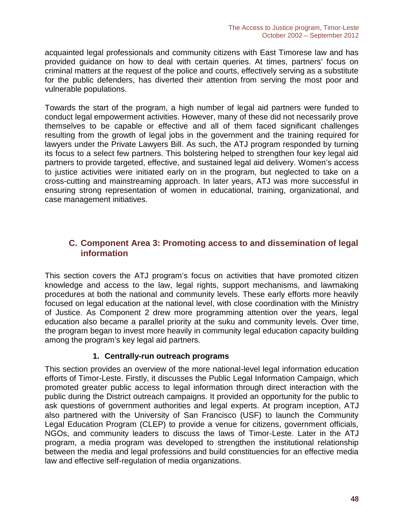acquainted legal professionals and community citizens with East Timorese law and has provided guidance on how to deal with certain queries. At times, partners' focus on criminal matters at the request of the police and courts, effectively serving as a substitute for the public defenders, has diverted their attention from serving the most poor and vulnerable populations.

Towards the start of the program, a high number of legal aid partners were funded to conduct legal empowerment activities. However, many of these did not necessarily prove themselves to be capable or effective and all of them faced significant challenges resulting from the growth of legal jobs in the government and the training required for lawyers under the Private Lawyers Bill. As such, the ATJ program responded by turning its focus to a select few partners. This bolstering helped to strengthen four key legal aid partners to provide targeted, effective, and sustained legal aid delivery. Women's access to justice activities were initiated early on in the program, but neglected to take on a cross-cutting and mainstreaming approach. In later years, ATJ was more successful in ensuring strong representation of women in educational, training, organizational, and case management initiatives.

# **C. Component Area 3: Promoting access to and dissemination of legal information**

This section covers the ATJ program's focus on activities that have promoted citizen knowledge and access to the law, legal rights, support mechanisms, and lawmaking procedures at both the national and community levels. These early efforts more heavily focused on legal education at the national level, with close coordination with the Ministry of Justice. As Component 2 drew more programming attention over the years, legal education also became a parallel priority at the suku and community levels. Over time, the program began to invest more heavily in community legal education capacity building among the program's key legal aid partners*.*

#### **1. Centrally-run outreach programs**

This section provides an overview of the more national-level legal information education efforts of Timor-Leste. Firstly, it discusses the Public Legal Information Campaign, which promoted greater public access to legal information through direct interaction with the public during the District outreach campaigns. It provided an opportunity for the public to ask questions of government authorities and legal experts. At program inception, ATJ also partnered with the University of San Francisco (USF) to launch the Community Legal Education Program (CLEP) to provide a venue for citizens, government officials, NGOs, and community leaders to discuss the laws of Timor-Leste. Later in the ATJ program, a media program was developed to strengthen the institutional relationship between the media and legal professions and build constituencies for an effective media law and effective self-regulation of media organizations.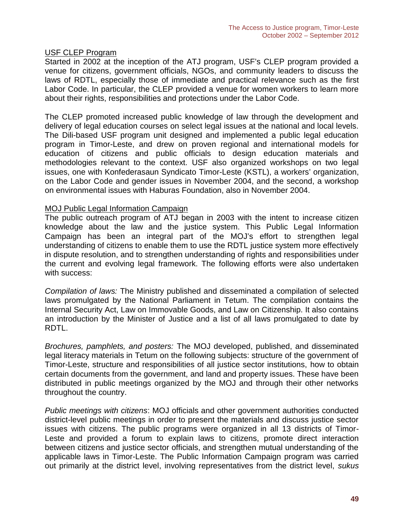#### USF CLEP Program

Started in 2002 at the inception of the ATJ program, USF's CLEP program provided a venue for citizens, government officials, NGOs, and community leaders to discuss the laws of RDTL, especially those of immediate and practical relevance such as the first Labor Code. In particular, the CLEP provided a venue for women workers to learn more about their rights, responsibilities and protections under the Labor Code.

The CLEP promoted increased public knowledge of law through the development and delivery of legal education courses on select legal issues at the national and local levels. The Dili-based USF program unit designed and implemented a public legal education program in Timor-Leste, and drew on proven regional and international models for education of citizens and public officials to design education materials and methodologies relevant to the context. USF also organized workshops on two legal issues, one with Konfederasaun Syndicato Timor-Leste (KSTL), a workers' organization, on the Labor Code and gender issues in November 2004, and the second, a workshop on environmental issues with Haburas Foundation, also in November 2004.

#### MOJ Public Legal Information Campaign

The public outreach program of ATJ began in 2003 with the intent to increase citizen knowledge about the law and the justice system. This Public Legal Information Campaign has been an integral part of the MOJ's effort to strengthen legal understanding of citizens to enable them to use the RDTL justice system more effectively in dispute resolution, and to strengthen understanding of rights and responsibilities under the current and evolving legal framework. The following efforts were also undertaken with success:

*Compilation of laws:* The Ministry published and disseminated a compilation of selected laws promulgated by the National Parliament in Tetum. The compilation contains the Internal Security Act, Law on Immovable Goods, and Law on Citizenship. It also contains an introduction by the Minister of Justice and a list of all laws promulgated to date by RDTL.

*Brochures, pamphlets, and posters:* The MOJ developed, published, and disseminated legal literacy materials in Tetum on the following subjects: structure of the government of Timor-Leste, structure and responsibilities of all justice sector institutions, how to obtain certain documents from the government, and land and property issues. These have been distributed in public meetings organized by the MOJ and through their other networks throughout the country.

*Public meetings with citizens*: MOJ officials and other government authorities conducted district-level public meetings in order to present the materials and discuss justice sector issues with citizens. The public programs were organized in all 13 districts of Timor- Leste and provided a forum to explain laws to citizens, promote direct interaction between citizens and justice sector officials, and strengthen mutual understanding of the applicable laws in Timor-Leste. The Public Information Campaign program was carried out primarily at the district level, involving representatives from the district level, *sukus*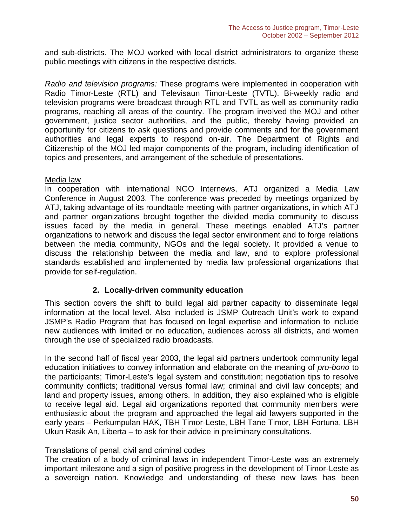and sub-districts. The MOJ worked with local district administrators to organize these public meetings with citizens in the respective districts.

*Radio and television programs:* These programs were implemented in cooperation with Radio Timor-Leste (RTL) and Televisaun Timor-Leste (TVTL). Bi-weekly radio and television programs were broadcast through RTL and TVTL as well as community radio programs, reaching all areas of the country. The program involved the MOJ and other government, justice sector authorities, and the public, thereby having provided an opportunity for citizens to ask questions and provide comments and for the government authorities and legal experts to respond on-air. The Department of Rights and Citizenship of the MOJ led major components of the program, including identification of topics and presenters, and arrangement of the schedule of presentations.

#### Media law

In cooperation with international NGO Internews, ATJ organized a Media Law Conference in August 2003. The conference was preceded by meetings organized by ATJ, taking advantage of its roundtable meeting with partner organizations, in which ATJ and partner organizations brought together the divided media community to discuss issues faced by the media in general. These meetings enabled ATJ's partner organizations to network and discuss the legal sector environment and to forge relations between the media community, NGOs and the legal society. It provided a venue to discuss the relationship between the media and law, and to explore professional standards established and implemented by media law professional organizations that provide for self-regulation.

#### **2. Locally-driven community education**

This section covers the shift to build legal aid partner capacity to disseminate legal information at the local level. Also included is JSMP Outreach Unit's work to expand JSMP's Radio Program that has focused on legal expertise and information to include new audiences with limited or no education, audiences across all districts, and women through the use of specialized radio broadcasts.

In the second half of fiscal year 2003, the legal aid partners undertook community legal education initiatives to convey information and elaborate on the meaning of *pro-bono* to the participants; Timor-Leste's legal system and constitution; negotiation tips to resolve community conflicts; traditional versus formal law; criminal and civil law concepts; and land and property issues, among others. In addition, they also explained who is eligible to receive legal aid. Legal aid organizations reported that community members were enthusiastic about the program and approached the legal aid lawyers supported in the early years – Perkumpulan HAK, TBH Timor-Leste, LBH Tane Timor, LBH Fortuna, LBH Ukun Rasik An, Liberta – to ask for their advice in preliminary consultations.

#### Translations of penal, civil and criminal codes

The creation of a body of criminal laws in independent Timor-Leste was an extremely important milestone and a sign of positive progress in the development of Timor-Leste as a sovereign nation. Knowledge and understanding of these new laws has been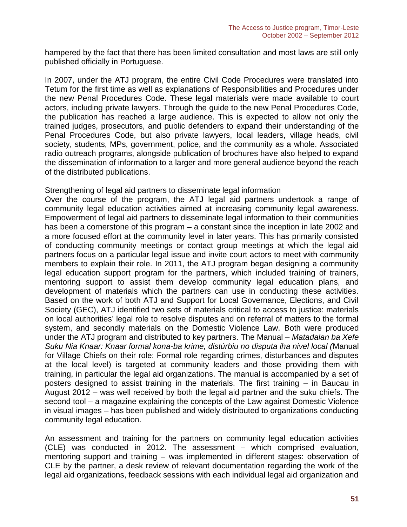hampered by the fact that there has been limited consultation and most laws are still only published officially in Portuguese.

In 2007, under the ATJ program, the entire Civil Code Procedures were translated into Tetum for the first time as well as explanations of Responsibilities and Procedures under the new Penal Procedures Code. These legal materials were made available to court actors, including private lawyers. Through the guide to the new Penal Procedures Code, the publication has reached a large audience. This is expected to allow not only the trained judges, prosecutors, and public defenders to expand their understanding of the Penal Procedures Code, but also private lawyers, local leaders, village heads, civil society, students, MPs, government, police, and the community as a whole. Associated radio outreach programs, alongside publication of brochures have also helped to expand the dissemination of information to a larger and more general audience beyond the reach of the distributed publications.

#### Strengthening of legal aid partners to disseminate legal information

Over the course of the program, the ATJ legal aid partners undertook a range of community legal education activities aimed at increasing community legal awareness. Empowerment of legal aid partners to disseminate legal information to their communities has been a cornerstone of this program – a constant since the inception in late 2002 and a more focused effort at the community level in later years. This has primarily consisted of conducting community meetings or contact group meetings at which the legal aid partners focus on a particular legal issue and invite court actors to meet with community members to explain their role. In 2011, the ATJ program began designing a community legal education support program for the partners, which included training of trainers, mentoring support to assist them develop community legal education plans, and development of materials which the partners can use in conducting these activities. Based on the work of both ATJ and Support for Local Governance, Elections, and Civil Society (GEC), ATJ identified two sets of materials critical to access to justice: materials on local authorities' legal role to resolve disputes and on referral of matters to the formal system, and secondly materials on the Domestic Violence Law. Both were produced under the ATJ program and distributed to key partners. The Manual – *Matadalan ba Xefe Suku Nia Knaar: Knaar formal kona-ba krime, distúrbiu no disputa iha nivel local (*Manual for Village Chiefs on their role: Formal role regarding crimes, disturbances and disputes at the local level) is targeted at community leaders and those providing them with training, in particular the legal aid organizations. The manual is accompanied by a set of posters designed to assist training in the materials. The first training – in Baucau in August 2012 – was well received by both the legal aid partner and the suku chiefs. The second tool – a magazine explaining the concepts of the Law against Domestic Violence in visual images – has been published and widely distributed to organizations conducting community legal education.

An assessment and training for the partners on community legal education activities (CLE) was conducted in 2012. The assessment – which comprised evaluation, mentoring support and training – was implemented in different stages: observation of CLE by the partner, a desk review of relevant documentation regarding the work of the legal aid organizations, feedback sessions with each individual legal aid organization and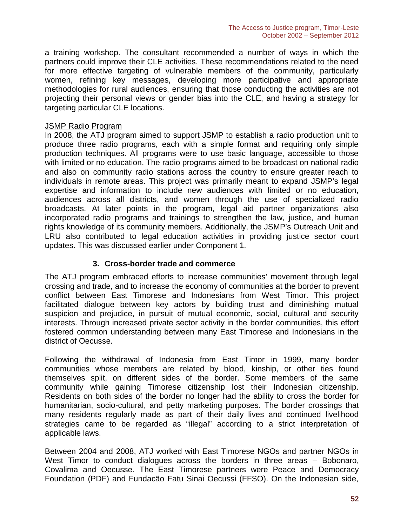a training workshop. The consultant recommended a number of ways in which the partners could improve their CLE activities. These recommendations related to the need for more effective targeting of vulnerable members of the community, particularly women, refining key messages, developing more participative and appropriate methodologies for rural audiences, ensuring that those conducting the activities are not projecting their personal views or gender bias into the CLE, and having a strategy for targeting particular CLE locations.

#### JSMP Radio Program

In 2008, the ATJ program aimed to support JSMP to establish a radio production unit to produce three radio programs, each with a simple format and requiring only simple production techniques. All programs were to use basic language, accessible to those with limited or no education. The radio programs aimed to be broadcast on national radio and also on community radio stations across the country to ensure greater reach to individuals in remote areas. This project was primarily meant to expand JSMP's legal expertise and information to include new audiences with limited or no education, audiences across all districts, and women through the use of specialized radio broadcasts. At later points in the program, legal aid partner organizations also incorporated radio programs and trainings to strengthen the law, justice, and human rights knowledge of its community members. Additionally, the JSMP's Outreach Unit and LRU also contributed to legal education activities in providing justice sector court updates. This was discussed earlier under Component 1.

#### **3. Cross-border trade and commerce**

The ATJ program embraced efforts to increase communities' movement through legal crossing and trade, and to increase the economy of communities at the border to prevent conflict between East Timorese and Indonesians from West Timor. This project facilitated dialogue between key actors by building trust and diminishing mutual suspicion and prejudice, in pursuit of mutual economic, social, cultural and security interests. Through increased private sector activity in the border communities, this effort fostered common understanding between many East Timorese and Indonesians in the district of Oecusse.

Following the withdrawal of Indonesia from East Timor in 1999, many border communities whose members are related by blood, kinship, or other ties found themselves split, on different sides of the border. Some members of the same community while gaining Timorese citizenship lost their Indonesian citizenship. Residents on both sides of the border no longer had the ability to cross the border for humanitarian, socio-cultural, and petty marketing purposes. The border crossings that many residents regularly made as part of their daily lives and continued livelihood strategies came to be regarded as "illegal" according to a strict interpretation of applicable laws.

Between 2004 and 2008, ATJ worked with East Timorese NGOs and partner NGOs in West Timor to conduct dialogues across the borders in three areas - Bobonaro, Covalima and Oecusse. The East Timorese partners were Peace and Democracy Foundation (PDF) and Fundacão Fatu Sinai Oecussi (FFSO). On the Indonesian side,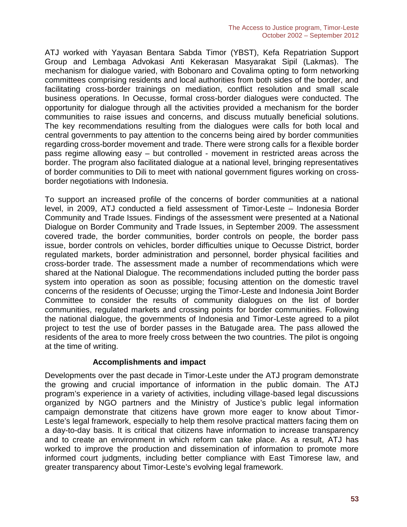ATJ worked with Yayasan Bentara Sabda Timor (YBST), Kefa Repatriation Support Group and Lembaga Advokasi Anti Kekerasan Masyarakat Sipil (Lakmas). The mechanism for dialogue varied, with Bobonaro and Covalima opting to form networking committees comprising residents and local authorities from both sides of the border, and facilitating cross-border trainings on mediation, conflict resolution and small scale business operations. In Oecusse, formal cross-border dialogues were conducted. The opportunity for dialogue through all the activities provided a mechanism for the border communities to raise issues and concerns, and discuss mutually beneficial solutions. The key recommendations resulting from the dialogues were calls for both local and central governments to pay attention to the concerns being aired by border communities regarding cross-border movement and trade. There were strong calls for a flexible border pass regime allowing easy – but controlled - movement in restricted areas across the border. The program also facilitated dialogue at a national level, bringing representatives of border communities to Dili to meet with national government figures working on cross border negotiations with Indonesia.

To support an increased profile of the concerns of border communities at a national level, in 2009, ATJ conducted a field assessment of Timor-Leste – Indonesia Border Community and Trade Issues. Findings of the assessment were presented at a National Dialogue on Border Community and Trade Issues, in September 2009. The assessment covered trade, the border communities, border controls on people, the border pass issue, border controls on vehicles, border difficulties unique to Oecusse District, border regulated markets, border administration and personnel, border physical facilities and cross-border trade. The assessment made a number of recommendations which were shared at the National Dialogue. The recommendations included putting the border pass system into operation as soon as possible; focusing attention on the domestic travel concerns of the residents of Oecusse; urging the Timor-Leste and Indonesia Joint Border Committee to consider the results of community dialogues on the list of border communities, regulated markets and crossing points for border communities. Following the national dialogue, the governments of Indonesia and Timor-Leste agreed to a pilot project to test the use of border passes in the Batugade area. The pass allowed the residents of the area to more freely cross between the two countries. The pilot is ongoing at the time of writing.

#### **Accomplishments and impact**

Developments over the past decade in Timor-Leste under the ATJ program demonstrate the growing and crucial importance of information in the public domain. The ATJ program's experience in a variety of activities, including village-based legal discussions organized by NGO partners and the Ministry of Justice's public legal information campaign demonstrate that citizens have grown more eager to know about Timor- Leste's legal framework, especially to help them resolve practical matters facing them on a day-to-day basis. It is critical that citizens have information to increase transparency and to create an environment in which reform can take place. As a result, ATJ has worked to improve the production and dissemination of information to promote more informed court judgments, including better compliance with East Timorese law, and greater transparency about Timor-Leste's evolving legal framework.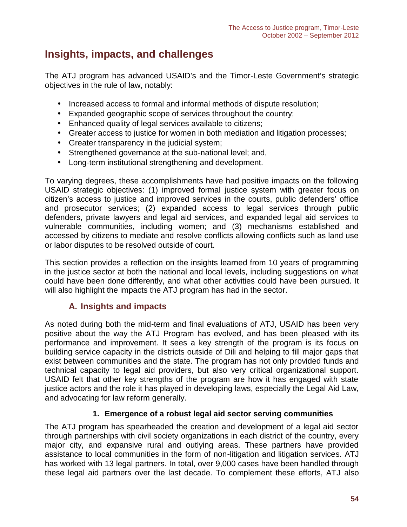# **Insights, impacts, and challenges**

The ATJ program has advanced USAID's and the Timor-Leste Government's strategic objectives in the rule of law, notably:

- Increased access to formal and informal methods of dispute resolution;
- Expanded geographic scope of services throughout the country;
- Enhanced quality of legal services available to citizens;
- Greater access to justice for women in both mediation and litigation processes;
- Greater transparency in the judicial system;
- Strengthened governance at the sub-national level; and,
- Long-term institutional strengthening and development.

To varying degrees, these accomplishments have had positive impacts on the following USAID strategic objectives: (1) improved formal justice system with greater focus on citizen's access to justice and improved services in the courts, public defenders' office and prosecutor services; (2) expanded access to legal services through public defenders, private lawyers and legal aid services, and expanded legal aid services to vulnerable communities, including women; and (3) mechanisms established and accessed by citizens to mediate and resolve conflicts allowing conflicts such as land use or labor disputes to be resolved outside of court.

This section provides a reflection on the insights learned from 10 years of programming in the justice sector at both the national and local levels, including suggestions on what could have been done differently, and what other activities could have been pursued. It will also highlight the impacts the ATJ program has had in the sector.

# **A. Insights and impacts**

As noted during both the mid-term and final evaluations of ATJ, USAID has been very positive about the way the ATJ Program has evolved, and has been pleased with its performance and improvement. It sees a key strength of the program is its focus on building service capacity in the districts outside of Dili and helping to fill major gaps that exist between communities and the state. The program has not only provided funds and technical capacity to legal aid providers, but also very critical organizational support. USAID felt that other key strengths of the program are how it has engaged with state justice actors and the role it has played in developing laws, especially the Legal Aid Law, and advocating for law reform generally.

# **1. Emergence of a robust legal aid sector serving communities**

The ATJ program has spearheaded the creation and development of a legal aid sector through partnerships with civil society organizations in each district of the country, every major city, and expansive rural and outlying areas. These partners have provided assistance to local communities in the form of non-litigation and litigation services. ATJ has worked with 13 legal partners. In total, over 9,000 cases have been handled through these legal aid partners over the last decade. To complement these efforts, ATJ also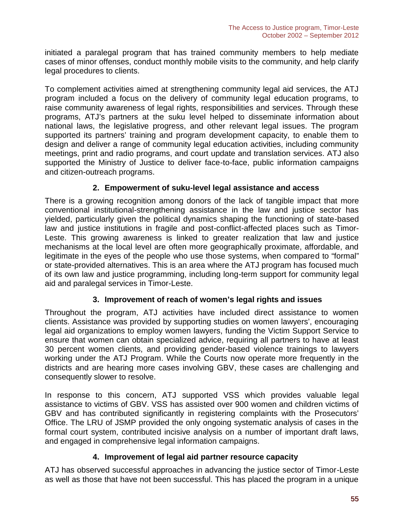initiated a paralegal program that has trained community members to help mediate cases of minor offenses, conduct monthly mobile visits to the community, and help clarify legal procedures to clients.

To complement activities aimed at strengthening community legal aid services, the ATJ program included a focus on the delivery of community legal education programs, to raise community awareness of legal rights, responsibilities and services. Through these programs, ATJ's partners at the suku level helped to disseminate information about national laws, the legislative progress, and other relevant legal issues. The program supported its partners' training and program development capacity, to enable them to design and deliver a range of community legal education activities, including community meetings, print and radio programs, and court update and translation services. ATJ also supported the Ministry of Justice to deliver face-to-face, public information campaigns and citizen-outreach programs.

### **2. Empowerment of suku-level legal assistance and access**

There is a growing recognition among donors of the lack of tangible impact that more conventional institutional-strengthening assistance in the law and justice sector has yielded, particularly given the political dynamics shaping the functioning of state-based law and justice institutions in fragile and post-conflict-affected places such as Timor- Leste. This growing awareness is linked to greater realization that law and justice mechanisms at the local level are often more geographically proximate, affordable, and legitimate in the eyes of the people who use those systems, when compared to "formal" or state-provided alternatives. This is an area where the ATJ program has focused much of its own law and justice programming, including long-term support for community legal aid and paralegal services in Timor-Leste.

# **3. Improvement of reach of women's legal rights and issues**

Throughout the program, ATJ activities have included direct assistance to women clients. Assistance was provided by supporting studies on women lawyers', encouraging legal aid organizations to employ women lawyers, funding the Victim Support Service to ensure that women can obtain specialized advice, requiring all partners to have at least 30 percent women clients, and providing gender-based violence trainings to lawyers working under the ATJ Program. While the Courts now operate more frequently in the districts and are hearing more cases involving GBV, these cases are challenging and consequently slower to resolve.

In response to this concern, ATJ supported VSS which provides valuable legal assistance to victims of GBV. VSS has assisted over 900 women and children victims of GBV and has contributed significantly in registering complaints with the Prosecutors' Office. The LRU of JSMP provided the only ongoing systematic analysis of cases in the formal court system, contributed incisive analysis on a number of important draft laws, and engaged in comprehensive legal information campaigns.

# **4. Improvement of legal aid partner resource capacity**

ATJ has observed successful approaches in advancing the justice sector of Timor-Leste as well as those that have not been successful. This has placed the program in a unique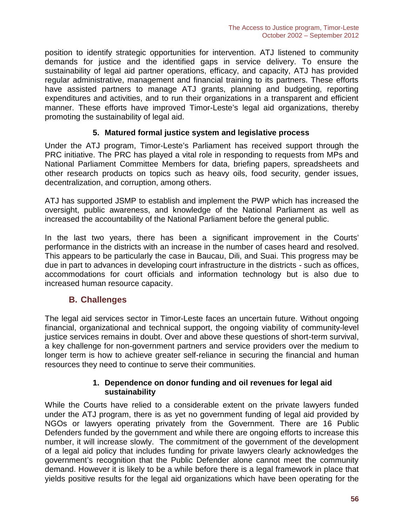position to identify strategic opportunities for intervention. ATJ listened to community demands for justice and the identified gaps in service delivery. To ensure the sustainability of legal aid partner operations, efficacy, and capacity, ATJ has provided regular administrative, management and financial training to its partners. These efforts have assisted partners to manage ATJ grants, planning and budgeting, reporting expenditures and activities, and to run their organizations in a transparent and efficient manner. These efforts have improved Timor-Leste's legal aid organizations, thereby promoting the sustainability of legal aid.

### **5. Matured formal justice system and legislative process**

Under the ATJ program, Timor-Leste's Parliament has received support through the PRC initiative. The PRC has played a vital role in responding to requests from MPs and National Parliament Committee Members for data, briefing papers, spreadsheets and other research products on topics such as heavy oils, food security, gender issues, decentralization, and corruption, among others.

ATJ has supported JSMP to establish and implement the PWP which has increased the oversight, public awareness, and knowledge of the National Parliament as well as increased the accountability of the National Parliament before the general public.

In the last two years, there has been a significant improvement in the Courts' performance in the districts with an increase in the number of cases heard and resolved. This appears to be particularly the case in Baucau, Dili, and Suai. This progress may be due in part to advances in developing court infrastructure in the districts - such as offices, accommodations for court officials and information technology but is also due to increased human resource capacity.

# **B. Challenges**

The legal aid services sector in Timor-Leste faces an uncertain future. Without ongoing financial, organizational and technical support, the ongoing viability of community-level justice services remains in doubt. Over and above these questions of short-term survival, a key challenge for non-government partners and service providers over the medium to longer term is how to achieve greater self-reliance in securing the financial and human resources they need to continue to serve their communities.

#### **1. Dependence on donor funding and oil revenues for legal aid sustainability**

While the Courts have relied to a considerable extent on the private lawyers funded under the ATJ program, there is as yet no government funding of legal aid provided by NGOs or lawyers operating privately from the Government. There are 16 Public Defenders funded by the government and while there are ongoing efforts to increase this number, it will increase slowly. The commitment of the government of the development of a legal aid policy that includes funding for private lawyers clearly acknowledges the government's recognition that the Public Defender alone cannot meet the community demand. However it is likely to be a while before there is a legal framework in place that yields positive results for the legal aid organizations which have been operating for the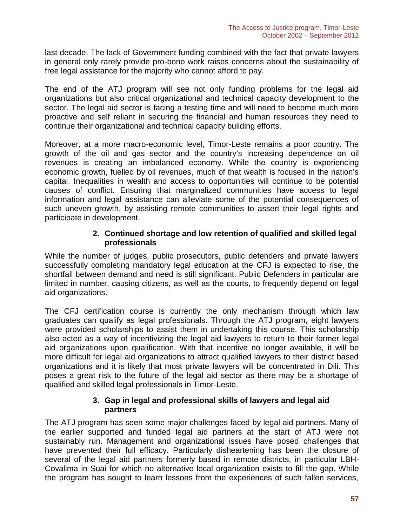last decade. The lack of Government funding combined with the fact that private lawyers in general only rarely provide pro-bono work raises concerns about the sustainability of free legal assistance for the majority who cannot afford to pay.

The end of the ATJ program will see not only funding problems for the legal aid organizations but also critical organizational and technical capacity development to the sector. The legal aid sector is facing a testing time and will need to become much more proactive and self reliant in securing the financial and human resources they need to continue their organizational and technical capacity building efforts.

Moreover, at a more macro-economic level, Timor-Leste remains a poor country. The growth of the oil and gas sector and the country's increasing dependence on oil revenues is creating an imbalanced economy. While the country is experiencing economic growth, fuelled by oil revenues, much of that wealth is focused in the nation's capital. Inequalities in wealth and access to opportunities will continue to be potential causes of conflict. Ensuring that marginalized communities have access to legal information and legal assistance can alleviate some of the potential consequences of such uneven growth, by assisting remote communities to assert their legal rights and participate in development.

#### **2. Continued shortage and low retention of qualified and skilled legal professionals**

While the number of judges, public prosecutors, public defenders and private lawyers successfully completing mandatory legal education at the CFJ is expected to rise, the shortfall between demand and need is still significant. Public Defenders in particular are limited in number, causing citizens, as well as the courts, to frequently depend on legal aid organizations.

The CFJ certification course is currently the only mechanism through which law graduates can qualify as legal professionals. Through the ATJ program, eight lawyers were provided scholarships to assist them in undertaking this course. This scholarship also acted as a way of incentivizing the legal aid lawyers to return to their former legal aid organizations upon qualification. With that incentive no longer available, it will be more difficult for legal aid organizations to attract qualified lawyers to their district based organizations and it is likely that most private lawyers will be concentrated in Dili. This poses a great risk to the future of the legal aid sector as there may be a shortage of qualified and skilled legal professionals in Timor-Leste.

### **3. Gap in legal and professional skills of lawyers and legal aid partners**

The ATJ program has seen some major challenges faced by legal aid partners. Many of the earlier supported and funded legal aid partners at the start of ATJ were not sustainably run. Management and organizational issues have posed challenges that have prevented their full efficacy. Particularly disheartening has been the closure of several of the legal aid partners formerly based in remote districts, in particular LBH- Covalima in Suai for which no alternative local organization exists to fill the gap. While the program has sought to learn lessons from the experiences of such fallen services,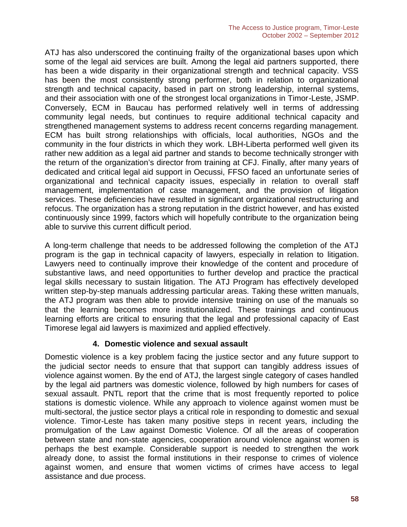ATJ has also underscored the continuing frailty of the organizational bases upon which some of the legal aid services are built. Among the legal aid partners supported, there has been a wide disparity in their organizational strength and technical capacity. VSS has been the most consistently strong performer, both in relation to organizational strength and technical capacity, based in part on strong leadership, internal systems, and their association with one of the strongest local organizations in Timor-Leste, JSMP. Conversely, ECM in Baucau has performed relatively well in terms of addressing community legal needs, but continues to require additional technical capacity and strengthened management systems to address recent concerns regarding management. ECM has built strong relationships with officials, local authorities, NGOs and the community in the four districts in which they work. LBH-Liberta performed well given its rather new addition as a legal aid partner and stands to become technically stronger with the return of the organization's director from training at CFJ. Finally, after many years of dedicated and critical legal aid support in Oecussi, FFSO faced an unfortunate series of organizational and technical capacity issues, especially in relation to overall staff management, implementation of case management, and the provision of litigation services. These deficiencies have resulted in significant organizational restructuring and refocus. The organization has a strong reputation in the district however, and has existed continuously since 1999, factors which will hopefully contribute to the organization being able to survive this current difficult period.

A long-term challenge that needs to be addressed following the completion of the ATJ program is the gap in technical capacity of lawyers, especially in relation to litigation. Lawyers need to continually improve their knowledge of the content and procedure of substantive laws, and need opportunities to further develop and practice the practical legal skills necessary to sustain litigation. The ATJ Program has effectively developed written step-by-step manuals addressing particular areas. Taking these written manuals, the ATJ program was then able to provide intensive training on use of the manuals so that the learning becomes more institutionalized. These trainings and continuous learning efforts are critical to ensuring that the legal and professional capacity of East Timorese legal aid lawyers is maximized and applied effectively.

#### **4. Domestic violence and sexual assault**

Domestic violence is a key problem facing the justice sector and any future support to the judicial sector needs to ensure that that support can tangibly address issues of violence against women. By the end of ATJ, the largest single category of cases handled by the legal aid partners was domestic violence, followed by high numbers for cases of sexual assault. PNTL report that the crime that is most frequently reported to police stations is domestic violence. While any approach to violence against women must be multi-sectoral, the justice sector plays a critical role in responding to domestic and sexual violence. Timor-Leste has taken many positive steps in recent years, including the promulgation of the Law against Domestic Violence. Of all the areas of cooperation between state and non-state agencies, cooperation around violence against women is perhaps the best example. Considerable support is needed to strengthen the work already done, to assist the formal institutions in their response to crimes of violence against women, and ensure that women victims of crimes have access to legal assistance and due process.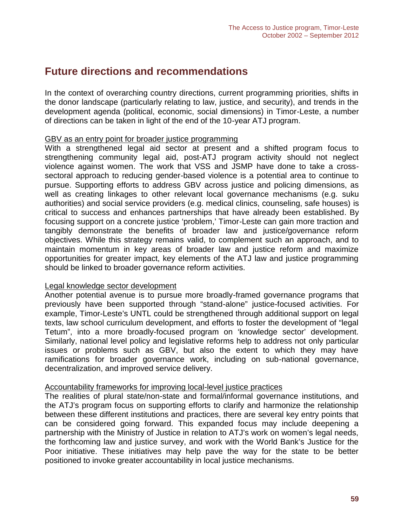# **Future directions and recommendations**

In the context of overarching country directions, current programming priorities, shifts in the donor landscape (particularly relating to law, justice, and security), and trends in the development agenda (political, economic, social dimensions) in Timor-Leste, a number of directions can be taken in light of the end of the 10-year ATJ program.

#### GBV as an entry point for broader justice programming

With a strengthened legal aid sector at present and a shifted program focus to strengthening community legal aid, post-ATJ program activity should not neglect violence against women. The work that VSS and JSMP have done to take a cross sectoral approach to reducing gender-based violence is a potential area to continue to pursue. Supporting efforts to address GBV across justice and policing dimensions, as well as creating linkages to other relevant local governance mechanisms (e.g. suku authorities) and social service providers (e.g. medical clinics, counseling, safe houses) is critical to success and enhances partnerships that have already been established. By focusing support on a concrete justice 'problem,' Timor-Leste can gain more traction and tangibly demonstrate the benefits of broader law and justice/governance reform objectives. While this strategy remains valid, to complement such an approach, and to maintain momentum in key areas of broader law and justice reform and maximize opportunities for greater impact, key elements of the ATJ law and justice programming should be linked to broader governance reform activities.

#### Legal knowledge sector development

Another potential avenue is to pursue more broadly-framed governance programs that previously have been supported through "stand-alone" justice-focused activities. For example, Timor-Leste's UNTL could be strengthened through additional support on legal texts, law school curriculum development, and efforts to foster the development of "legal Tetum", into a more broadly-focused program on 'knowledge sector' development. Similarly, national level policy and legislative reforms help to address not only particular issues or problems such as GBV, but also the extent to which they may have ramifications for broader governance work, including on sub-national governance, decentralization, and improved service delivery.

#### Accountability frameworks for improving local-level justice practices

The realities of plural state/non-state and formal/informal governance institutions, and the ATJ's program focus on supporting efforts to clarify and harmonize the relationship between these different institutions and practices, there are several key entry points that can be considered going forward. This expanded focus may include deepening a partnership with the Ministry of Justice in relation to ATJ's work on women's legal needs, the forthcoming law and justice survey, and work with the World Bank's Justice for the Poor initiative. These initiatives may help pave the way for the state to be better positioned to invoke greater accountability in local justice mechanisms.